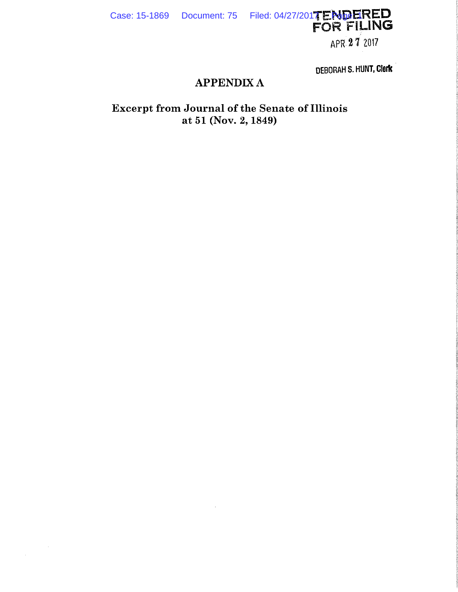$\sim$   $\sim$ 

 $\mathcal{A}^{\mathcal{A}}$ 

Case: 15-1869 Document: 75 Filed: 04/27/2017 Page: 1

APR 27 2017

DEBORAH S. HUNT, Clerk

# **APPENDIX A**

Excerpt from Journal of the Senate of Illinois<br>at 51 (Nov. 2, 1849)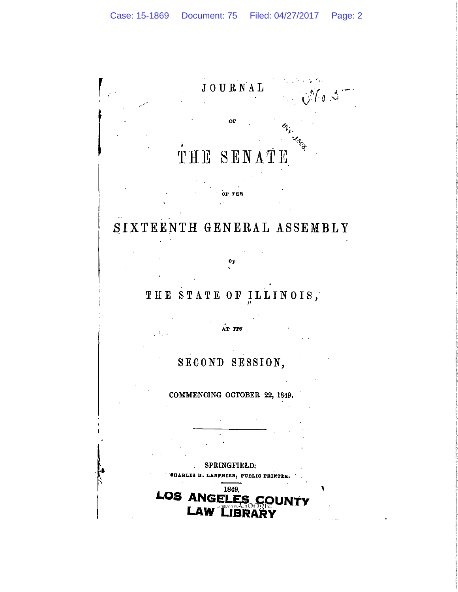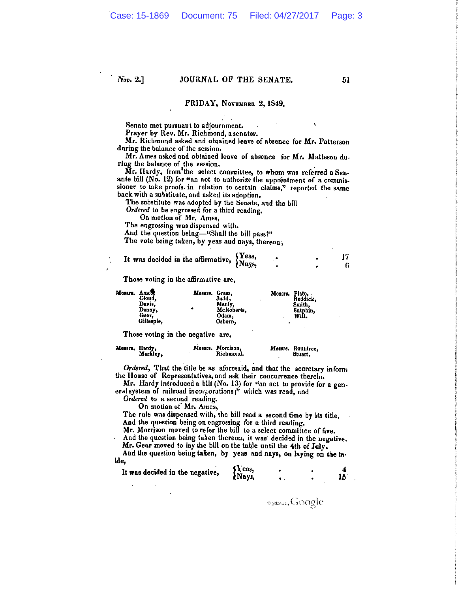$Nov. 2.1$ 

#### JOURNAL OF THE SENATE.

#### FRIDAY, NOVEMBER 2, 1849.

Senate met pursuant to adjournment.

Prayer by Rev. Mr. Richmond, a senator.

Mr. Richmond asked and obtained leave of absence for Mr. Patterson during the balance of the session.

Mr. Ames asked and obtained leave of absence for Mr. Matteson du. ring the balance of the session.

Mr. Hardy, from the select committee, to whom was referred a Senante bill (No. 12) for "an act to authorize the appointment of a commissioner to take proofs in relation to certain claims," reported the same back with a substitute, and asked its adoption.

The substitute was adopted by the Senate, and the bill

Ordered to be engrossed for a third reading.

On motion of Mr. Ames,

The engrossing was dispensed with.

And the question being-"Shall the bill pass?"

The vote being taken, by yeas and nays, thereon,

| It was decided in the affirmative, Yeas, |  |  |
|------------------------------------------|--|--|
|                                          |  |  |

Those voting in the affirmative are,

| Mesara, Ames | Cloud.<br>Davis.<br>Denny.<br>Gear.<br>Gillespie. | Messrs. Grass,<br>۰ | Judd.<br>Manly,<br>McRoberts,<br>Odam,<br>Osborn. | Messrs. Plato.<br>٠ | Reddick.<br>Smith.<br>Sutphin.<br>Wit. |
|--------------|---------------------------------------------------|---------------------|---------------------------------------------------|---------------------|----------------------------------------|
|--------------|---------------------------------------------------|---------------------|---------------------------------------------------|---------------------|----------------------------------------|

Those voting in the negative are,

| Messrs, Hardy, | Markley, | Messrs. Morrison,<br>Richmond. | Messrs. Rountree,<br>Stuart. |
|----------------|----------|--------------------------------|------------------------------|
|                |          |                                |                              |

Ordered, That the title be as aforesaid, and that the secretary inform the House of Representatives, and ask their concurrence therein.

Mr. Hardy introduced a bill (No. 13) for "an act to provide for a general system of railroad incorporations;" which was read, and

Ordered to a second reading.

On motion of Mr. Ames,

The rule was dispensed with, the bill read a second time by its title, And the question being on engrossing for a third reading,

Mr. Morrison moved to refer the bill to a select committee of five.

And the question being taken thereon, it was decided in the negative. Mr. Gear moved to lay the bill on the table until the 4th of July.

And the question being taken, by yeas and nays, on laying on the table,

| It was decided in the negative, | 3 r eas,<br>2 Nays, |  |  |
|---------------------------------|---------------------|--|--|
|                                 |                     |  |  |

Dipletion Google

51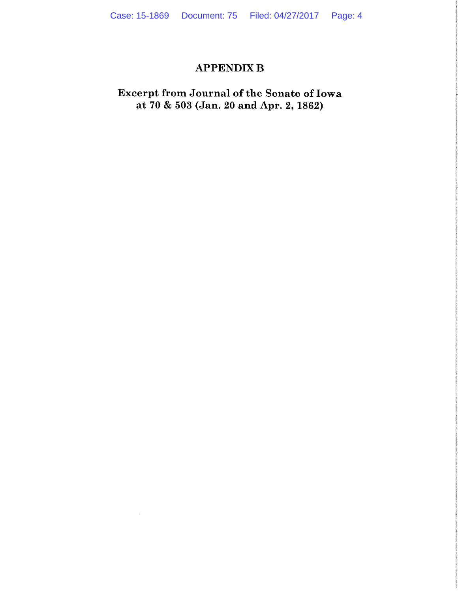# **APPENDIX B**

# Excerpt from Journal of the Senate of Iowa at 70 & 503 (Jan. 20 and Apr. 2, 1862)

 $\sim$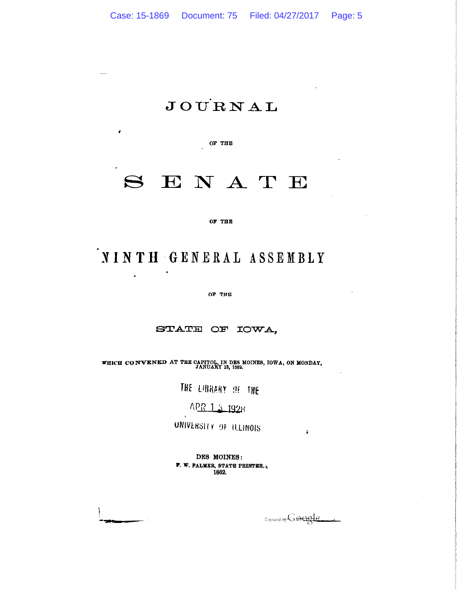# **JOURNAL**

OF THE

 $\pmb{\epsilon}$ 

 $\ddot{\phantom{a}}$ 

# $S$  ENATE

OF THE

# NINTH GENERAL ASSEMBLY

OF THE

#### STATE OF IOWA,

WHICH CONVENED AT THE CAPITOL, IN DES MOINES, IOWA, ON MONDAY, JANUARY 13, 1862.

THE LIBRARY OF THE

APR 1 3 1928

UNIVERSITY OF ILLINOIS

DES MOINES: F. W. PALMER, STATE PRINTER. 1862.

Digitized by Google

 $\mathbf{r}$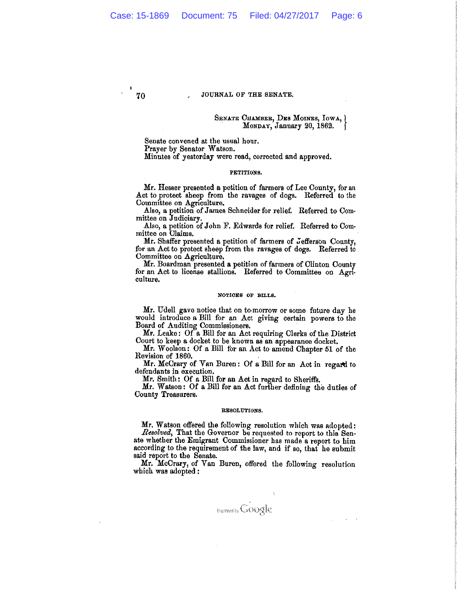JOURNAL OF THE SENATE.

#### SENATE CHAMBER, DES MOINES, IOWA, MONDAY, January 20, 1862.

Senate convened at the usual hour. Prayer by Senator Watson. Minutes of yesterday were read, corrected and approved.

#### PETITIONS.

Mr. Hesser presented a petition of farmers of Lee County, for an Act to protect sheep from the ravages of dogs. Referred to the Committee on Agriculture.

Also, a petition of James Schneider for relief. Referred to Committee on Judiciary.

Also, a petition of John F. Edwards for relief. Referred to Committee on Claims.

Mr. Shaffer presented a petition of farmers of Jefferson County, for an Act to protect sheep from the ravages of dogs. Referred to Committee on Agriculture.

Mr. Boardman presented a petition of farmers of Clinton County<br>for an Act to license stallions. Referred to Committee on Agriculture.

#### NOTICES OF BILLS.

Mr. Udell gave notice that on to-morrow or some future day he would introduce a Bill for an Act giving certain powers to the Board of Auditing Commissioners.

Mr. Leake: Of a Bill for an Act requiring Clerks of the District Court to keep a docket to be known as an appearance docket.

Mr. Woolson: Of a Bill for an Act to amend Chapter 51 of the Revision of 1860.

Mr. McCrary of Van Buren: Of a Bill for an Act in regard to defendants in execution.

Mr. Smith: Of a Bill for an Act in regard to Sheriffs.

Mr. Watson: Of a Bill for an Act further defining the duties of County Treasurers.

#### RESOLUTIONS.

Mr. Watson offered the following resolution which was adopted: Resolved, That the Governor be requested to report to this Senate whether the Emigrant Commissioner has made a report to him according to the requirement of the law, and if so, that he submit said report to the Senate.

Mr. McCrary, of Van Buren, offered the following resolution which was adopted:

Digitized by GOOgle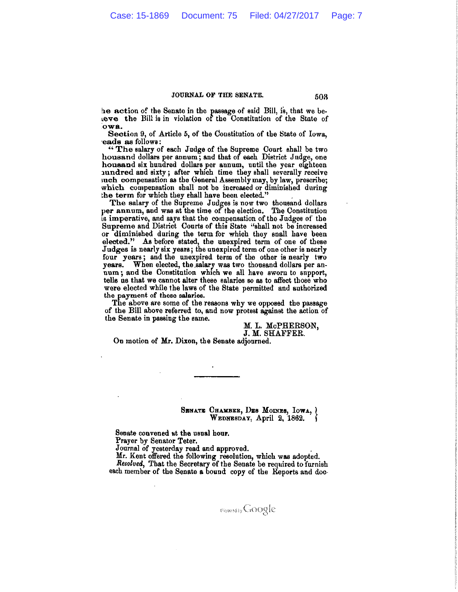#### JOURNAL OF THE SENATE.

he action of the Senate in the passage of said Bill, is, that we beteve the Bill is in violation of the Constitution of the State of owa.

Section 9, of Article 5, of the Constitution of the State of Iowa, eads as follows:

"The salary of each Judge of the Supreme Court shall be two housand dollars per annum; and that of each District Judge, one housand six hundred dollars per annum, until the year eighteen nundred and sixty; after which time they shall severally receive such compensation as the General Assembly may, by law, prescribe; which compensation shall not be increased or diminished during the term for which they shall have been elected."

The salary of the Supreme Judges is now two thousand dollars per annum, and was at the time of the election. The Constitution is imperative, and says that the compensation of the Judges of the Supreme and District Courts of this State "shall not be increased or diminished during the term for which they snall have been elected." As before stated, the unexpired term of one of these Judges is nearly six years; the unexpired term of one other is nearly four years; and the unexpired term of the other is nearly two years. When elected, the salary was two thousand dollars per annum; and the Constitution which we all have sworn to support, tells us that we cannot alter these salaries so as to affect those who were elected while the laws of the State permitted and authorized the payment of these salaries.

The above are some of the reasons why we opposed the passage of the Bill above referred to, and now protest against the action of the Senate in passing the same.

> M. L. McPHERSON, J. M. SHAFFER.

On motion of Mr. Dixon, the Senate adjourned.

#### SENATE CHAMBER, DES MOINES, IOWA, WEDNESDAY, April 2, 1862.

Senate convened at the usual hour.

Prayer by Senator Teter.

Journal of yesterday read and approved.

Mr. Kent offered the following resolution, which was adopted.<br>Resolved, That the Secretary of the Senate be required to furnish each member of the Senate a bound copy of the Reports and doc-

503

Demand Google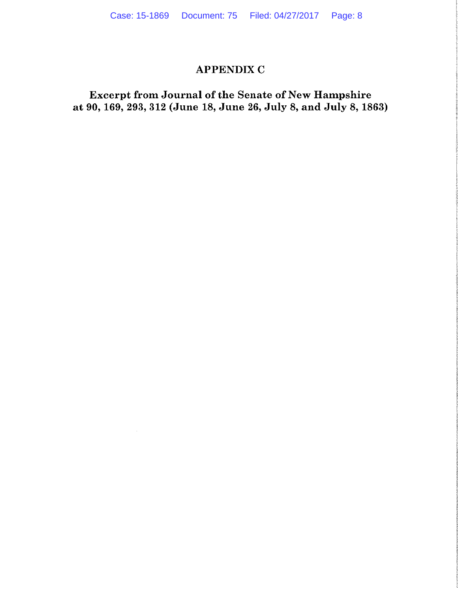### **APPENDIX C**

Excerpt from Journal of the Senate of New Hampshire at 90, 169, 293, 312 (June 18, June 26, July 8, and July 8, 1863)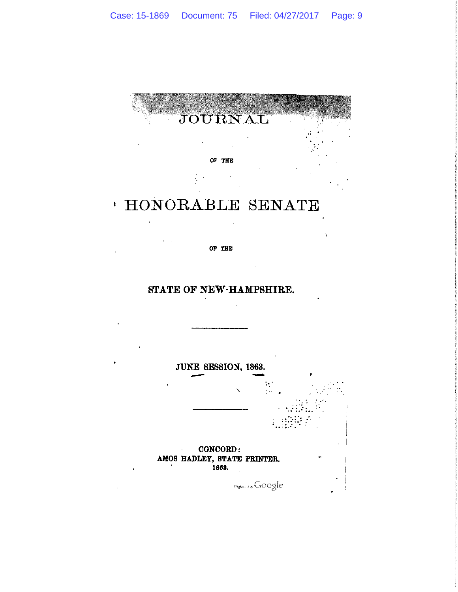

# ' HONORABLE SENATE

OF THE

### STATE OF NEW-HAMPSHIRE.

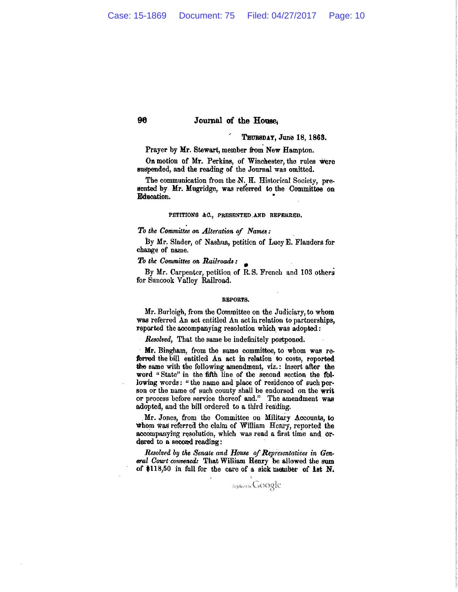#### Journal of the House.

#### THURSDAY, June 18, 1863.

Prayer by Mr. Stewart, member from New Hampton.

On motion of Mr. Perkins, of Winchester, the rules were suspended, and the reading of the Journal was omitted.

The communication from the N. H. Historical Society, presented by Mr. Mugridge, was referred to the Committee on Elducation.

#### PETITIONS &C., PRESENTED AND REFERRED.

#### To the Committee on Alteration of Names:

By Mr. Slader, of Nashua, petition of Lucy E. Flanders for change of name.

#### To the Committee on Railroads:

90

By Mr. Carpenter, petition of R.S. French and 103 others for Suncook Valley Railroad.

#### REPORTS.

Mr. Burleigh, from the Committee on the Judiciary, to whom was referred An act entitled An act in relation to partnerships, reported the accompanying resolution which was adopted:

Resolved, That the same be indefinitely postponed.

Mr. Bingham, from the same committee, to whom was referred the bill entitled An act in relation to costs, reported the same with the following amendment, viz.: insert after the word "State" in the fifth line of the second section the following words: "the name and place of residence of such person or the name of such county shall be endorsed on the writ or process before service thereof and." The amendment was adopted, and the bill ordered to a third reading.

Mr. Jones, from the Committee on Military Accounts, to whom was referred the claim of William Henry, reported the accompanying resolution, which was read a first time and ordered to a second reading:

Resolved by the Senate and House of Representatives in General Court convened: That William Henry be allowed the sum of \$118,50 in full for the care of a sick member of 1st N.

**Eigilized by CxOOgle**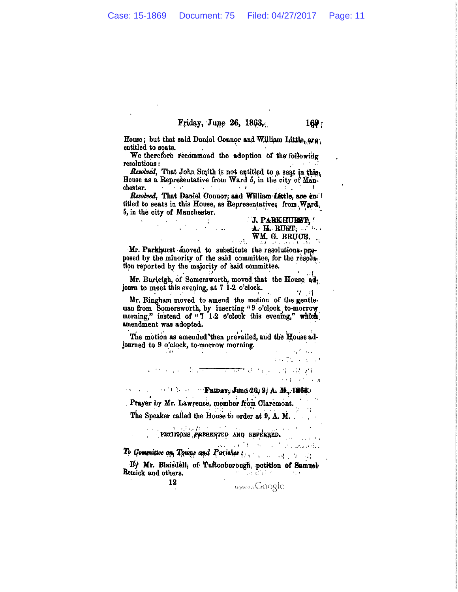#### Friday, June 26, 1863.

House; but that said Daniel Connor and William Little, arg. entitled to seats.

We therefore recommend the adoption of the following resolutions:

Resolved, That John Smith is not entitled to a seat in this House as a Representative from Ward 5, in the city of Man- $\Delta\omega$  ,  $\Delta\omega$  ,  $\omega$ cheater.  $\mathcal{F}=\mathcal{F}^{\mathcal{F}}$  .  $\rightarrow$   $\rightarrow$ 

Resolved, That Daniel Connor, and William Little, are entitled to seats in this House, as Representatives from Ward. 5, in the city of Manchester.

n f

 $\label{eq:2.1} \mathcal{L}(\mathcal{A}) = \mathcal{L}(\mathcal{A}) = \mathcal{L}(\mathcal{A}) = \mathcal{L}(\mathcal{A}) = \frac{1}{2} \mathcal{L}(\mathcal{A})$ 

 $\sim 11$ 

 $\mathcal{L}^{(1)}$ 

**J. PARKHURT, I** A. H. RUBT. WM. G. BRUCE.

 $169:$ 

Mr. Parkhurst moved to substitute the resolutions proposed by the minority of the said committee, for the resolution reported by the majority of said committee.

Mr. Burleigh, of Somersworth, moved that the House ad. journ to meet this evening, at 7 1-2 o'clock.  $T<sub>1</sub>$ 

Mr. Bingham moved to amend the motion of the gentleman from Somersworth, by inserting "9 o'clock to-morrow morning," instead of "7 1-2 o'clock this evening," which amendment was adopted.

The motion as amended then prevailed, and the House adjourned to 9 o'clock, to-morrow morning.  $\sim 10^{11}$  and  $\sim 10^{11}$ 

 $\sim 10^{-11}$ 

 $\label{eq:3.1} \begin{array}{ll} 1 & \sqrt{1+1} \sqrt{1+1} \sqrt{1+1} \sqrt{1+1} \sqrt{1+1} \sqrt{1+1} \sqrt{1+1} \sqrt{1+1} \sqrt{1+1} \sqrt{1+1} \sqrt{1+1} \sqrt{1+1} \sqrt{1+1} \sqrt{1+1} \sqrt{1+1} \sqrt{1+1} \sqrt{1+1} \sqrt{1+1} \sqrt{1+1} \sqrt{1+1} \sqrt{1+1} \sqrt{1+1} \sqrt{1+1} \sqrt{1+1} \sqrt{1+1} \sqrt{1+1} \sqrt{1+1} \sqrt{1+1} \sqrt{1+$ 

新华国家 电最<del>大的 医中央性</del>缺陷 医骨部 滑稽  $\mathbb{R}^2 \times \mathbb{R}^2 \to \mathbb{R}^2 \times \mathbb{R}^2$ 

 $\beta$  and  $\beta$  is the **Friday**; June 26, 9/ A. M., 1263.

Prayer by Mr. Lawrence, member from Claremont. The Speaker called the House to order at 9, A. M.

 $d$  and  $\theta$  are the contributions PETITIONS PREAENTED AND REPERRED.

la constitu 18 San Maria Branchi To Committee on Towns and Parishes :

By Mr. Blaisdell, of Tuftonborough, petition of Samuel-Remick and others. ਾ ਨਾ ਪਿੰਚ ਬੈਂਕੋ ਨਾ ਪਾਰਟ ਨਾ

> 12 Depressive Google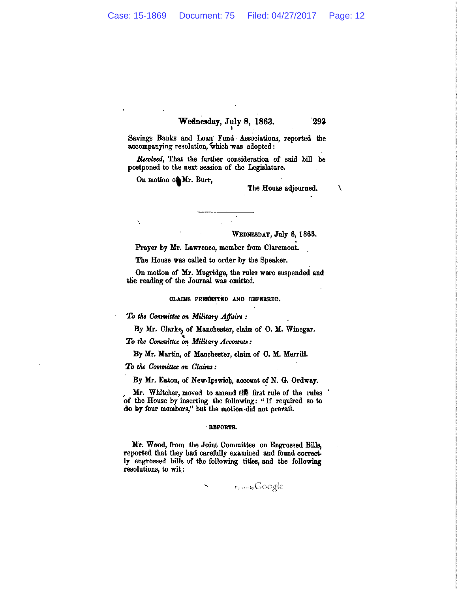# Wednesday, July 8, 1863.

Savings Banks and Loan Fund Associations, reported the accompanying resolution, which was adopted:

Resolved, That the further consideration of said bill be postponed to the next session of the Legislature.

On motion of Mr. Burr,

 $\cdot$ 

The House adjourned.

293

N

WEDNESDAY, July 8, 1863.

Prayer by Mr. Lawrence, member from Claremont.

The House was called to order by the Speaker.

On motion of Mr. Mugridge, the rules were suspended and the reading of the Journal was omitted.

CLAIMS PRESENTED AND REFERRED.

To the Committee on Military Affairs:

By Mr. Clarke, of Manchester, claim of O. M. Winegar.

To the Committee on Military Accounts:

By Mr. Martin, of Manchester, claim of C. M. Merrill.

To the Committee on Claims:

By Mr. Eaton, of New-Ipswich, account of N. G. Ordway.

Mr. Whitcher, moved to amend the first rule of the rules of the House by inserting the following: "If required so to do by four members," but the motion did not prevail.

#### **BBPORTS.**

Mr. Wood, from the Joint Committee on Engrossed Bills, reported that they had carefully examined and found correctly engrossed bills of the following titles, and the following resolutions, to wit:

÷,

**Ingilizerby GOOgle**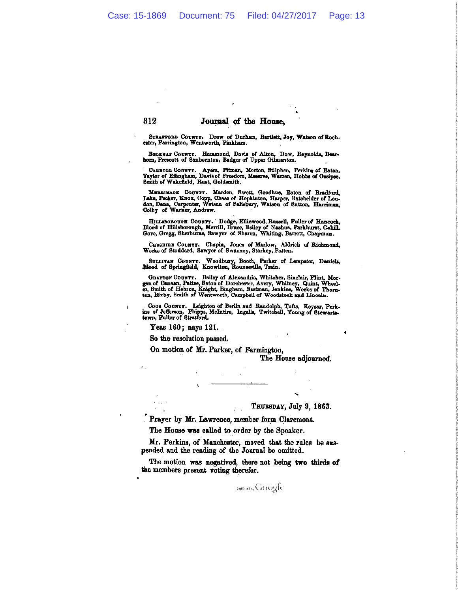Journal of the House,

STRAFFORD COUNTT. Drew of Durham, Bartlett, Joy, Watson of Bochester, Farrington, Wentworth, Pinkham.

BELEWAF COUNTY. Hammond, Davis of Alton, Dow, Reynolds, Dearborn, Prescott of Sanbornton, Badger of Upper Gilmanton.

CABROLL COUNTT. Ayers, Pitman, Morton, Stilphen, Perkins of Eston, Taylor of Effingham, Davis of Freedom, Meserve, Warren, Hobbs of Ossipee, Smith of Wakefield, Rust, Goldsmith.

MERRIMAON COUNTY. Marden, Swett, Goodhue, Eaton of Bradford, Lake, Pecker, Knox, Copp, Chase of Hopkinton, Harpen, Batchelder of Loudon, Dana, Carpenter, Watson of Salisbury, Watson of Sutton, Harriman, Colby of Warner, An

HILLEBOROUGH COUNTY. Dodge, Ellinwood, Russell, Fuller of Hancock, Blood of Hillsborough, Merrill, Bruce, Bailey of Nashua, Parkhurst, Cahill, Gove, Gregg, Sherburne, Sawyer of Sharon, Whiting, Barrett, Chapman.

CHESHIER COUNTY. Chapin, Jones of Marlow, Aldrich of Richmond, Weeks of Stoddard, Sawyer of Swanzey, Starkey, Patten.

SULLIVAN COUNTI. Woodbury, Booth, Parker of Lempster, Daniels, Rhood of Springfield, Knowlton, Rounseville, Train.

GRAFTON COUNTY. Bailey of Alexandria, Whitcher, Sinclair, Flint, Morgan of Causan, Pattee, Eaton of Dorchester, Avery, Whitney, Quint, Wheeler, Smith of Hebron, Knight, Bingham, Bastman, Jenkins, Weeks of Thornton, Bixby,

COOS COUNTY. Leighton of Berlin and Randolph, Tufts, Keysar, Perkins of Jefferson, Phipps, McIntire, Ingalls, Twitchell, Young of Stewarts-town, Fuller of Stratford.

Yeas 160; nays 121.

312

ś

So the resolution passed.

On motion of Mr. Parker, of Farmington,

The House adjourned.

THUBSDAY, July 9, 1863.

Prayer by Mr. Lawrence, member form Claremont.

The House was called to order by the Speaker.

Mr. Perkins, of Manchester, moved that the rules be suspended and the reading of the Journal be omitted.

The motion was negatived, there not being two thirds of the members present voting therefor.

**Digitize the GOOgle**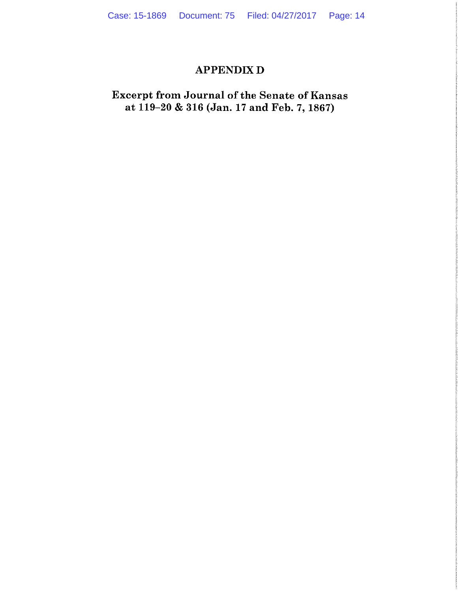### **APPENDIX D**

# **Excerpt from Journal of the Senate of Kansas** at 119-20 & 316 (Jan. 17 and Feb. 7, 1867)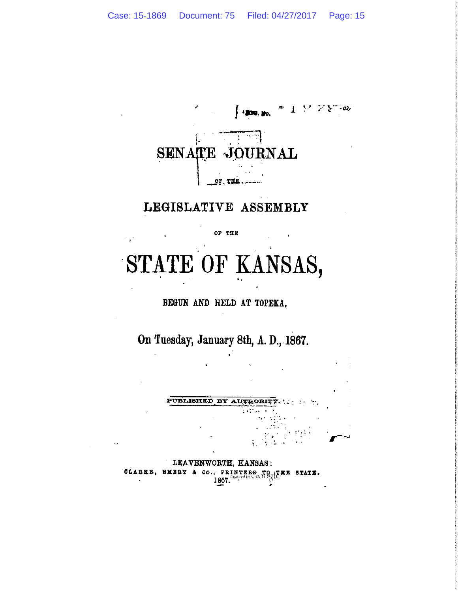

# LEGISLATIVE ASSEMBLY

OF THE

STATE OF KANSAS,

BEGUN AND HELD AT TOPEKA,

On Tuesday, January 8th, A. D., 1867.

PUBLISHED BY AUTHORITY.

LEAVENWORTH, KANSAS: CLAREE, EMERY & CO., PRINTERS TO ITEE BTATE.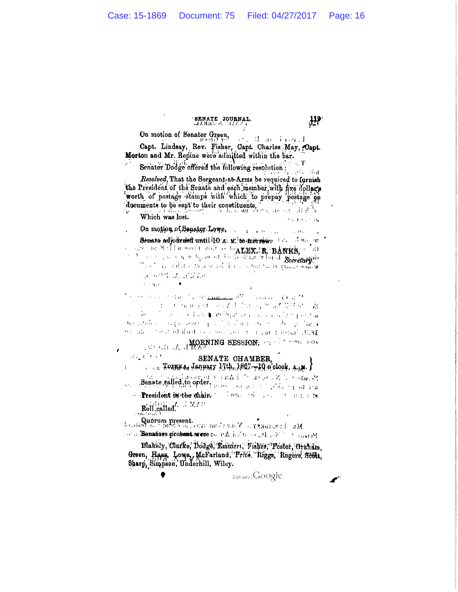### SENATE JOURNAL.

# On motion of Senator Green,

and Than Tangel Capt. Lindsay, Rev. Fisher, Capt. Charles May, Capt. Morton and Mr. Repine were admitted within the bar.

Schater Dodge offered the following resolution Resolved, That the Sorgeant-at-Arms be required to furnish the President of the Senate and each, member with five dollars worth of postage stamps with which to prepay postage on documents to be sent to their constituents.

Which was lost. On motion of Senator Lowe, with the contract of the contract of the contract of the contract of the contract of the contract of the contract of the contract of the contract of the contract of the contract of the contract o

Senate adjourned until 10 A. M. to morrery him has been and mean of the agent mediate to ALBX. R. BANKS, the file of the content of the content of the Secretary of of the last rations to a series about a ton that's qualify party しどうせき けいざみ おと **Constantinople** 

<sup>3</sup> Contract of the Communication of the state of the S countries to the project of work difference that there are  $\sim 10^{-1}$ ke (1 de la 1 de la 1 de 1994) a concerta de la Sperit de and study as a processed by a standard constant of the  $\frac{1}{2}$  standard tension from obstanting above provided a management of

MORNING SESSION. The Concept of the Second Property of the March 2014  $\partial \mathcal{H}_\omega(\mathbf{t}^{\top}\mathbf{t},\mathbf{x}^{\top})$ SENATE CHAMBER.

 $\ldots$ , Тогкка, Јапнату  $1/4$ , 1867.—19 о'с $\log$ , д. ј i.  $\mathcal{G}_{\alpha}$  only  $\beta \in \mathcal{N}$  .  $\mathcal{G}_{\alpha}$  en  $\beta^{\alpha} \in \mathcal{X}$  and  $\alpha$  to ensure,  $\mathcal{G}_{\alpha}$ **CALL AND** 

Senate ealled to order. of President in the chain, and the contract of the fact of

Roll called. J M/1

cornel **Senators prebent or cor**e and *e K* in factor and in F and energy

Blakely, Clarke, Dodge, Emmert, Fisher, Foster, Granam. Green, Haas, Lowe, McFarland, Price, Riggs, Rogers, Stilt, Sharp, Simpson, Underhill, Wiley.

Dentroisy Google

 $\mathfrak{m}$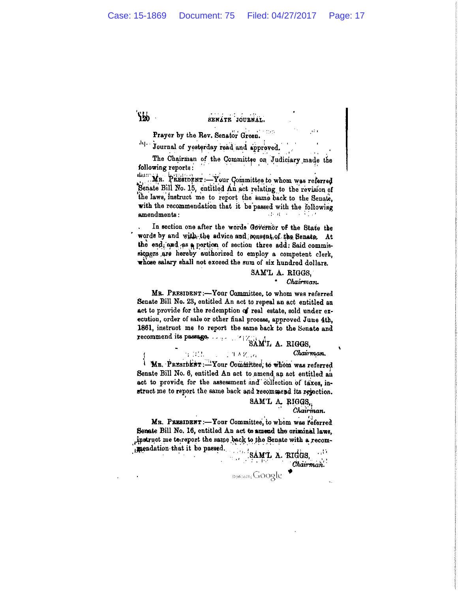՟ՙֈֈֈ

#### SENATE JOURNAL.

 $\overline{a}$ Prayer by the Rev. Senator Green.

Jq. Journal of yesterday read and approved.

The Chairman of the Committee on Judiciary made the following reports:

 $44.15^{\circ}$ MR. PRESIDENT: Your Committee to whom was referred Senate Bill No. 15, entitled An act relating to the revision of the laws, instruct me to report the same back to the Senate, with the recommendation that it be passed with the following amendments: 动物 电分布

In section one after the words Governor of the State the words by and with the advice and ponsent of the Senate. At the end, and as a pertion of section three add: Said commissiquers are hereby authorized to employ a competent clerk, whose salary shall not exceed the sum of six hundred dollars.

#### SAM'L A. RIGGS. Chairman.

MR. PRESIDENT:-Your Committee, to whom was referred Senate Bill No. 23, entitled An act to repeal an act entitled an act to provide for the redemption of real estate, sold under execution, order of sale or other final process, approved June 4th, 1861, instruct me to report the same back to the Senate and 

#### Chairman.

MB. PRESIDENT:-Your Committee, to whom was referred J. Senate Bill No. 6, entitled An act to amend an act entitled an act to provide for the assessment and collection of taxes, instruct me to report the same back and recommend its rejection.

工作人材であ

#### SAM'L A. RIGGS.

Chairman.

MR. PRESIDENT:-Your Committee, to whom was referred Senate Bill No. 16, entitled An act to amend the criminal laws, instruct me to report the same back to the Senate with a recommendation that it be passed.

SAML A. RIGGS, 45 P.P Chairman. Diraised Ly Google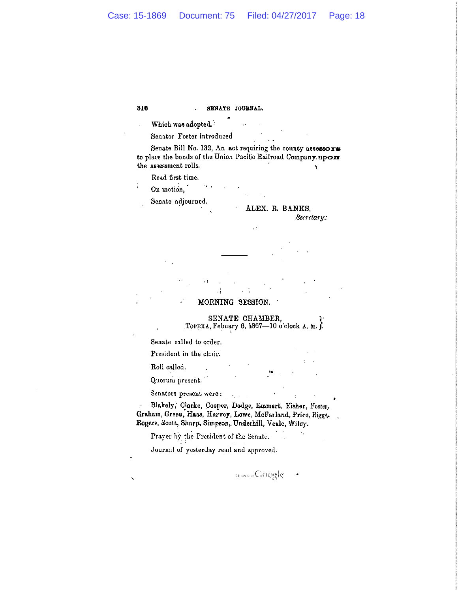316 SENATE JOURNAL.

Which was adopted.

Senator Foster introduced

Senate Bill No. 132, An act requiring the county assessors to place the bonds of the Union Pacific Railroad Company upon the assessment rolls.  $\mathbf{A}$ 

Read first time.

On motion,

Senate adjourned.

ALEX. R. BANKS,

Secretary:

MORNING SESSION.

SENATE CHAMBER,

Торека, Febuary 6, 1867—10 o'clock A. M.

Senate called to order.

President in the chair.

Roll called.

Quorum present.

Senators present were:

Blakely, Clarke, Cooper, Dodge, Emmert, Fisher, Foster, Graham, Green, Haas, Harvey, Lowe, McFarland, Price, Rigge, Rogers, Scott, Sharp, Simpson, Underhill, Veale, Wiley.

Prayer by the President of the Senate. Journal of yesterday read and approved.

oqueents Google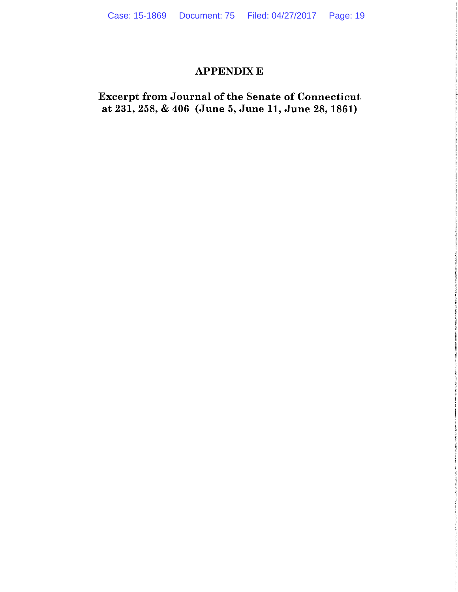### **APPENDIX E**

**Excerpt from Journal of the Senate of Connecticut** at 231, 258, & 406 (June 5, June 11, June 28, 1861)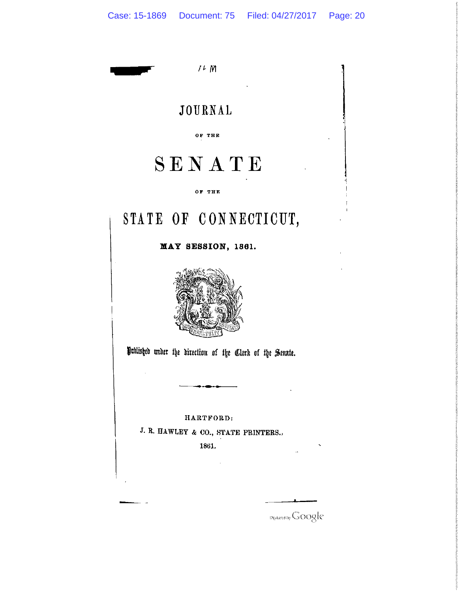$1 + M$ 

# JOURNAL

OF THE

# SENATE

OF THE

# STATE OF CONNECTICUT,

MAY SESSION, 1861.



Published under the direction of the Clerk of the Senate.

HARTFORD:

J. R. HAWLEY & CO., STATE PRINTERS..

1861.

Digitized by Google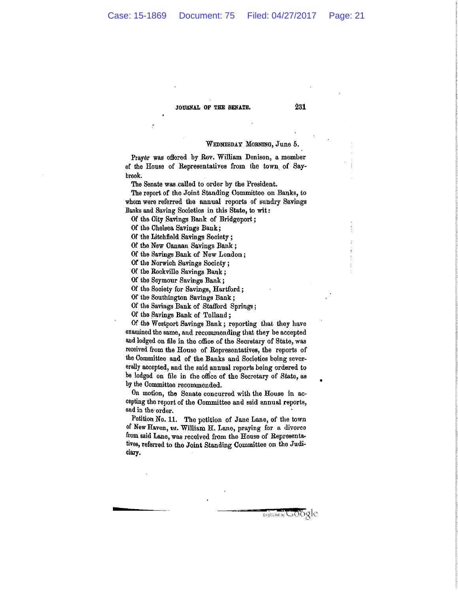#### JOURNAL OF THE SENATE.

#### WEDNESDAY MORNING, June 5.

Prayer was offered by Rev. William Denison, a member of the House of Representatives from the town of Saybrook.

The Senate was called to order by the President.

The report of the Joint Standing Committee on Banks, to whom were referred the annual reports of sundry Savings Banks and Saving Societies in this State, to wit:

Of the City Savings Bank of Bridgeport:

Of the Chelsea Savings Bank;

Of the Litchfield Savings Society:

Of the New Canaan Savings Bank;

Of the Savings Bank of New London;

Of the Norwich Savings Society;

Of the Rockville Savings Bank;

Of the Seymour Savings Bank;

Of the Society for Savings, Hartford;

Of the Southington Savings Bank;

Of the Savings Bank of Stafford Springs;

Of the Savings Bank of Tolland;

Of the Westport Savings Bank; reporting that they have examined the same, and recommending that they be accepted and lodged on file in the office of the Secretary of State, was received from the House of Representatives, the reports of the Committee and of the Banks and Societies being severerally accepted, and the said annual reports being ordered to be lodged on file in the office of the Secretary of State, as by the Committee recommended.

On motion, the Senate concurred with the House in accepting the report of the Committee and said annual reports, and in the order.

Petition No. 11. The petition of Jane Lane, of the town of New Haven, vs. William H. Lane, praying for a divorce from said Lane, was received from the House of Representatives, referred to the Joint Standing Committee on the Judiciary.

Digitized by LaGOQIC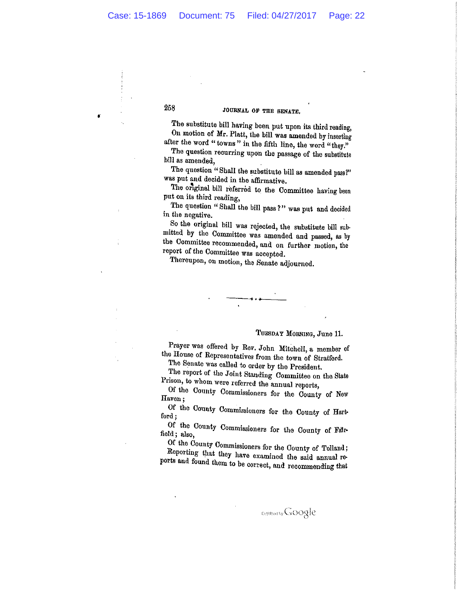258

 $\bullet$ 

#### JOURNAL OF THE SENATE.

The substitute bill having been put upon its third reading, On motion of Mr. Platt, the bill was amended by inserting after the word "towns" in the fifth line, the word "they."

The question recurring upon the passage of the substitute bill as amended,

The question "Shall the substitute bill as amended pass?" was put and decided in the affirmative.

The original bill referred to the Committee having been put on its third reading,

The question "Shall the bill pass?" was put and decided in the negative.

So the original bill was rejected, the substitute bill submitted by the Committee was amended and passed, as by the Committee recommended, and on further motion, the report of the Committee was accepted.

Thereupon, on motion, the Senate adjourned.

#### TUESDAY MORNING, June 11.

Prayer was offered by Rev. John Mitchell, a member of the House of Representatives from the town of Stratford.

The Senate was called to order by the President.

The report of the Joint Standing Committee on the State Prison, to whom were referred the annual reports,

Of the County Commissioners for the County of New Haven;

Of the County Commissioners for the County of Hartford;

Of the County Commissioners for the County of Fairfield; also,

Of the County Commissioners for the County of Tolland; Reporting that they have examined the said annual reports and found them to be correct, and recommending that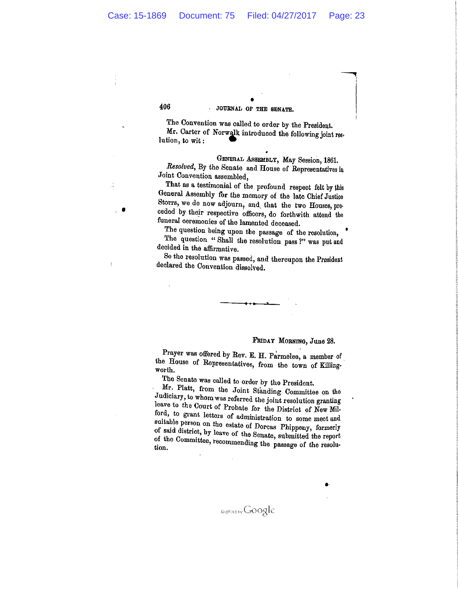JOURNAL OF THE SENATE.

The Convention was called to order by the President. Mr. Carter of Norwalk introduced the following joint reslution, to wit:

GENERAL ASSEMBLY, May Session, 1861. Resolved, By the Senate and House of Representatives in Joint Convention assembled.

That as a testimonial of the profound respect felt by this General Assembly for the memory of the late Chief Justice Storrs, we do now adjourn, and that the two Houses, preceded by their respective officers, do forthwith attend the funeral ceremonies of the lamented deceased.

The question being upon the passage of the resolution, The question "Shall the resolution pass?" was put and decided in the affirmative.

So the resolution was passed, and thereupon the President declared the Convention dissolved.

#### FRIDAY MORNING, June 28.

Prayer was offered by Rev. E. H. Parmelee, a member of the House of Representatives, from the town of Killingworth.

The Senate was called to order by the President.

Mr. Platt, from the Joint Standing Committee on the Judiciary, to whom was referred the joint resolution granting leave to the Court of Probate for the District of New Milford, to grant letters of administration to some meet and suitable person on the estate of Dorcas Phippeny, formerly of said district, by leave of the Senate, submitted the report of the Committee, recommending the passage of the resolution.

406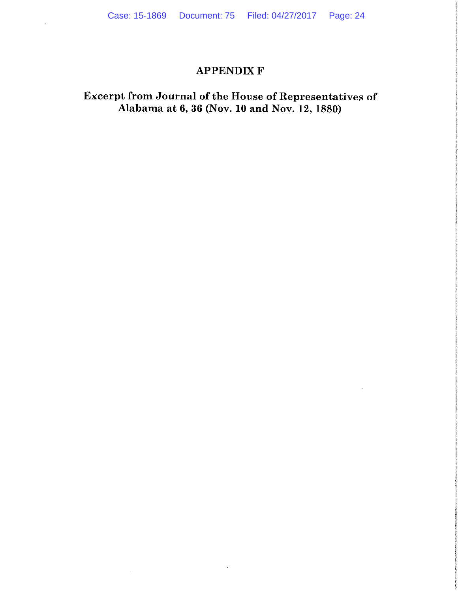# **APPENDIX F**

# Excerpt from Journal of the House of Representatives of<br>Alabama at 6, 36 (Nov. 10 and Nov. 12, 1880)

 $\cdot$ 

 $\bar{z}$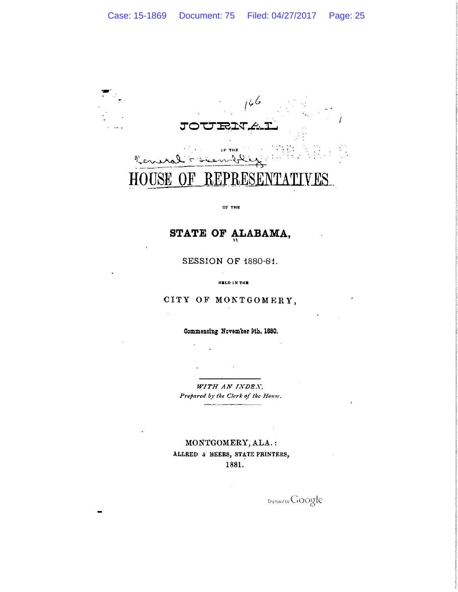

#### OF THE

# STATE OF ALABAMA,

SESSION OF 1880-81.

HELD IN THE

### CITY OF MONTGOMERY,

Commencing November 9th, 1880.

WITH AN INDEX. Prepared by the Clerk of the House.

MONTGOMERY, ALA.: ALLRED & BEERS, STATE PRINTERS, 1881.

 $\bar{z}$ 

Digitized by Google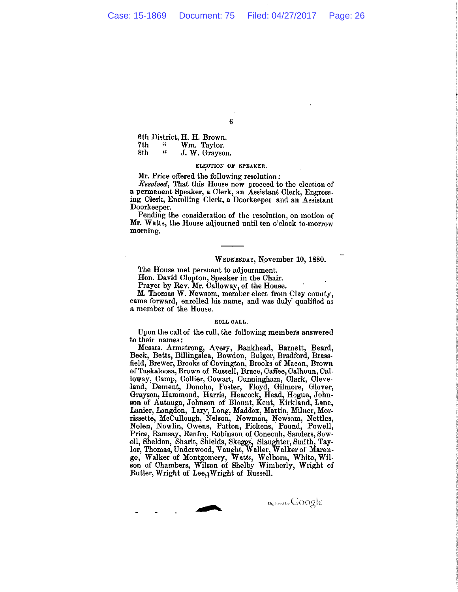$\boldsymbol{6}$ 

6th District, H. H. Brown.  $\boldsymbol{\mathfrak{c}}$ Wm. Taylor. 7th  $\mathfrak{c}\mathfrak{c}$ J. W. Grayson. 8th

#### ELECTION OF SPEAKER.

Mr. Price offered the following resolution:

Resolved, That this House now proceed to the election of a permanent Speaker, a Clerk, an Assistant Clerk, Engrossing Clerk, Enrolling Clerk, a Doorkeeper and an Assistant Doorkeeper.

Pending the consideration of the resolution, on motion of Mr. Watts, the House adjourned until ten o'clock to-morrow morning.

#### WEDNESDAY, November 10, 1880.

Digotours Google

The House met persuant to adjournment.

Hon. David Clopton, Speaker in the Chair.

Prayer by Rev. Mr. Calloway, of the House.

M. Thomas W. Newsom, member elect from Clay county, came forward, enrolled his name, and was duly qualified as a member of the House.

#### ROLL CALL.

Upon the call of the roll, the following members answered to their names:

Messrs. Armstrong, Avery, Bankhead, Barnett, Beard, Beck, Betts, Billingslea, Bowdon, Bulger, Bradford, Brassfield, Brewer, Brooks of Covington, Brooks of Macon, Brown of Tuskaloosa, Brown of Russell, Bruce, Caffee, Calhoun, Calloway, Camp, Collier, Cowart, Cunningham, Clark, Cleveland, Dement, Donoho, Foster, Floyd, Gilmore, Glover, Grayson, Hammond, Harris, Heacock, Head, Hogue, John-son of Autauga, Johnson of Blount, Kent, Kirkland, Lane, Lanier, Langdon, Lary, Long, Maddox, Martin, Milner, Morrissette, McCullough, Nelson, Newman, Newsom, Nettles, Nolen, Nowlin, Owens, Patton, Pickens, Pound, Powell, Price, Ramsay, Renfro, Robinson of Conecuh, Sanders, Sow-Free, Ramsay, Reinfo, Robinson of Conecum, Samess, Sowell, Sheldon, Sharit, Shields, Skeggs, Slaughter, Smith, Taylor, Thomas, Underwood, Vaught, Waller, Walker of Marengo, Walker of Montgomery, Watts, Welborn, White, Wils

 $\begin{array}{c} \begin{array}{c} \begin{array}{c} \end{array} \\ \begin{array}{c} \end{array} \end{array} \end{array}$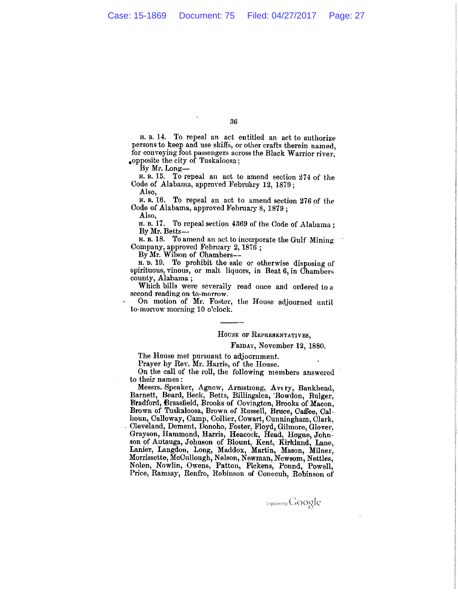36

H. B. 14. To repeal an act entitled an act to authorize persons to keep and use skiffs, or other crafts therein named, for conveying foot passengers across the Black Warrior river, opposite the city of Tuskaloosa;

By Mr. Long—

H. B. 15. To repeal an act to amend section 274 of the Code of Alabama, approved February 12, 1879;

Also.

H. B. 16. To repeal an act to amend section 276 of the Code of Alabama, approved February 8, 1879;

Also.

H. B. 17. To repeal section 4369 of the Code of Alabama; By Mr. Betts-

H. B. 18. To amend an act to incorporate the Gulf Mining Company, approved February 2, 1876;

By Mr. Wilson of Chambers--

H. B. 19. To prohibit the sale or otherwise disposing of spirituous, vinous, or malt liquors, in Beat 6, in Chambers county, Alabama;

Which bills were severally read once and ordered to a second reading on to-morrow.

On motion of Mr. Foster, the House adjourned until to-morrow morning 10 o'clock.

#### HOUSE OF REPRESENTATIVES.

#### FRIDAY, November 12, 1880.

The House met pursuant to adjournment.

Prayer by Rev. Mr. Harris, of the House.

On the call of the roll, the following members answered to their names:

Messrs. Speaker, Agnew, Armstrong, Avery, Bankhead, Barnett, Beard, Beck, Betts, Billingslea, Bowdon, Bulger, Bradford, Brassfield, Brooks of Covington, Brooks of Macon, Brown of Tuskaloosa, Brown of Russell, Bruce, Caffee, Calhoun, Calloway, Camp, Collier, Cowart, Cunningham, Clark, floun, Canoway, Camp, Comer, Coward, Cummignam, Clark,<br>Cleveland, Dement, Donoho, Foster, Floyd, Gilmore, Glover,<br>Grayson, Hammond, Harris, Heacock, Head, Hogue, Johnson<br>of Autauga, Johnson of Blount, Kent, Kirkland, Lane, Nolen, Nowlin, Owens, Patton, Pickens, Pound, Powell, Price, Ramsay, Renfro, Robinson of Conecuh, Robinson of

**Cratical by GOOgle**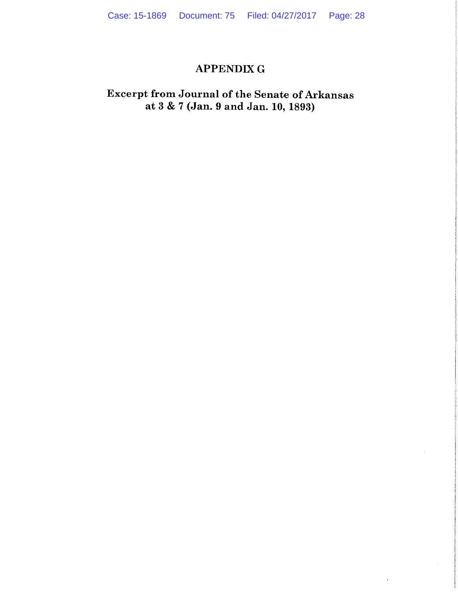# **APPENDIX G**

# Excerpt from Journal of the Senate of Arkansas<br>at 3 & 7 (Jan. 9 and Jan. 10, 1893)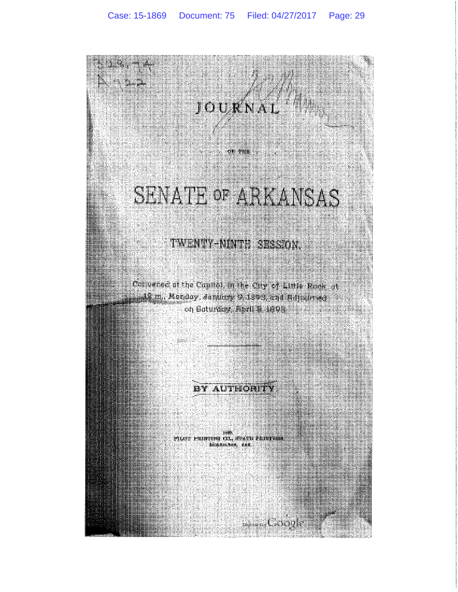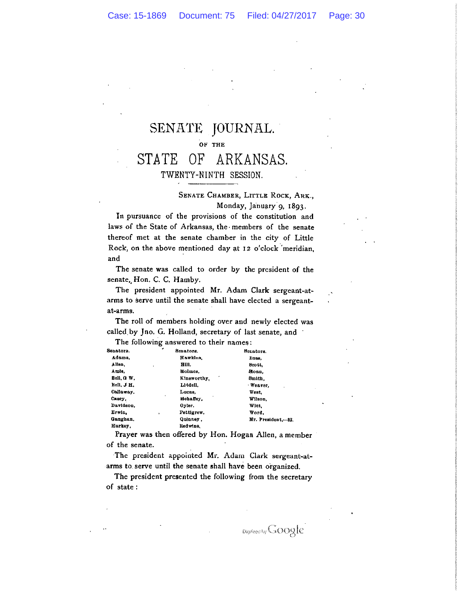#### SENATE JOURNAL. OF THE ARKANSAS. **STATE** OF TWENTY-NINTH SESSION.

#### SENATE CHAMBER, LITTLE ROCK, ARK., Monday, January 9, 1893.

In pursuance of the provisions of the constitution and laws of the State of Arkansas, the members of the senate thereof met at the senate chamber in the city of Little Rock, on the above mentioned day at 12 o'clock 'meridian, and

The senate was called to order by the president of the senate, Hon. C. C. Hamby.

The president appointed Mr. Adam Clark sergeant-atarms to serve until the senate shall have elected a sergeantat-arms.

The roll of members holding over and newly elected was called by Jno. G. Holland, secretary of last senate, and The following answered to their names:

| Senators.  | ٠<br>Senators.   | Senators.          |
|------------|------------------|--------------------|
| Adame.     | Hawkins.         | Russ.              |
| Allen.     | HIII.<br>٠       | Beott.             |
| Amie.      | Holmes.          | Sloan.             |
| Bell, G W. | ۰<br>Kineworthy, | Smith.             |
| Bell, J H. | Liddell.         | Weaver,            |
| Callaway.  | Lucas.           | West.              |
| Слвеу.     | ٠<br>mehalley.   | Wilson.            |
| Davidson.  | Oyler.           | Witt.              |
| Erwin.     | Pettigrew.<br>,  | Word.              |
| Gaughan.   | Quinney.         | Mr. President.-82. |
| Нагкеу,    | ked wine.        |                    |
|            |                  |                    |

Prayer was then offered by Hon. Hogan Allen, a member of the senate.

The president appointed Mr. Adam Clark sergeant-atarms to serve until the senate shall have been organized.

The president presented the following from the secretary of state:

Digitized by GOOgle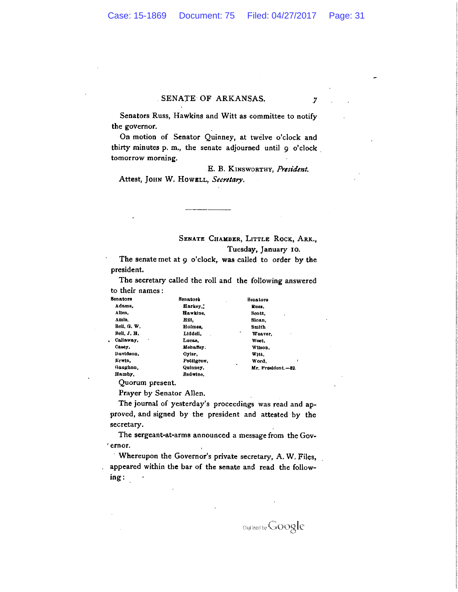### SENATE OF ARKANSAS.

Senators Russ, Hawkins and Witt as committee to notify the governor.

On motion of Senator Quinney, at twelve o'clock and thirty minutes p. m., the senate adjourned until 9 o'clock tomorrow morning.

E. B. KINSWORTHY, President. Attest, JOHN W. HOWELL, Secretary.

 $\overline{7}$ 

#### SENATE CHAMBER, LITTLE ROCK, ARK. Tuesday, January 10.

Senators Russ. Scott, Sloan, Smith Weaver. West, Wilson. Witt. Word,

Mr. President.-82.

The senate met at 9 o'clock, was called to order by the president.

The secretary called the roll and the following answered to their names:

| Senators    | Senatork   |  |
|-------------|------------|--|
| Adams.      | Harkey.    |  |
| Allen.      | Hawklos.   |  |
| Amls.       | нu.        |  |
| Bell. G. W. | Holmes.    |  |
| Bell, J, H, | Liddell.   |  |
| Callaway.   | Lucas.     |  |
| Савет.      | Mehafley.  |  |
| Davidson.   | Oyler,     |  |
| Erwin.      | Pettigrew. |  |
| Gaughan,    | Quinney,   |  |
| Hamby.      | Redwine,   |  |

Quorum present.

Prayer by Senator Allen.

The journal of yesterday's proceedings was read and approved, and signed by the president and attested by the secretary.

The sergeant-at-arms announced a message from the Governor.

Whereupon the Governor's private secretary, A.W. Files, appeared within the bar of the senate and read the follow $ing:$ 

Digitized by Google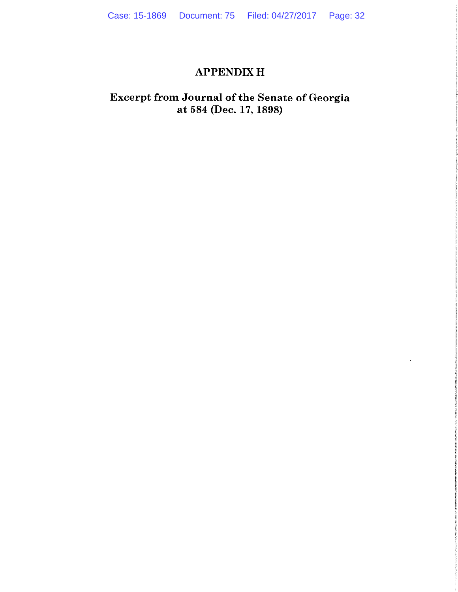# **APPENDIX H**

# Excerpt from Journal of the Senate of Georgia at 584 (Dec. 17, 1898)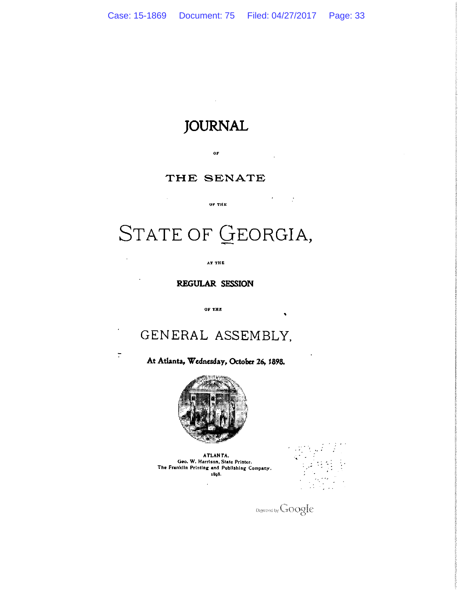# **JOURNAL**

 $0\,\mathrm{F}$ 

### THE SENATE

OF THE

 $\bar{z}$ 

 $\overline{\cdot}$ 

# STATE OF GEORGIA,

AT THE

REGULAR SESSION

OF THE

# GENERAL ASSEMBLY.

At Atlanta, Wednesday, October 26, 1898.



ATLANTA. Geo. W. Harrison, State Printer. The Franklin Printing and Publishing Company. 1808.



Digitized by Google

 $\mathcal{F} = \{ \mathcal{F} \}$ 

 $\bullet$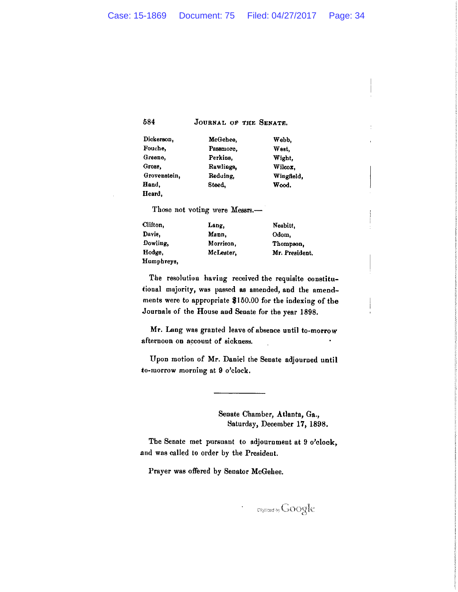584

JOURNAL OF THE SENATE.

| Dickerson,   | McGehee.  |
|--------------|-----------|
| Fouche,      | Passmore, |
| Greene,      | Perkins.  |
| Grose,       | Rawlings. |
| Grovenstein. | Reduing,  |
| Hand.        | Steed,    |
| Heard.       |           |

West, Wight, Wilcox, Wingfield, Wood.

Webb,

Those not voting were Messrs.-

| Clifton,   | Lang.     | Nesbitt.       |
|------------|-----------|----------------|
| Davie,     | Mann.     | Odom,          |
| Dowling.   | Morrison. | Thompson.      |
| Hodge.     | McLester. | Mr. President. |
| Humphreys, |           |                |

The resolution having received the requisite constitutional majority, was passed as amended, and the amendments were to appropriate \$150.00 for the indexing of the Journals of the House and Senate for the year 1898.

Mr. Lang was granted leave of absence until to-morrow afternoon on account of sickness.

Upon motion of Mr. Daniel the Senate adjourned until to-morrow morning at 9 o'clock.

> Senate Chamber, Atlanta, Ga., Saturday, December 17, 1898.

The Senate met pursuant to adjournment at 9 o'clock, and was called to order by the President.

Prayer was offered by Senator McGehee.

**Digitized by GOOgle**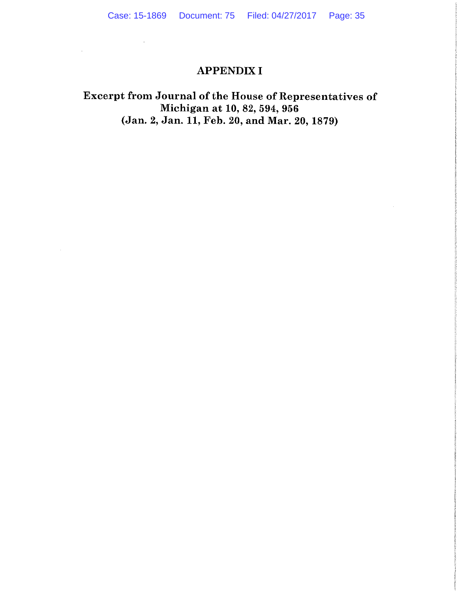### **APPENDIX I**

 $\mathcal{L}^{\mathcal{L}}(\mathcal{L}^{\mathcal{L}})$  .

 $\mathcal{L}^{\pm}$ 

 $\sim$ 

# Excerpt from Journal of the House of Representatives of Michigan at 10, 82, 594, 956 (Jan. 2, Jan. 11, Feb. 20, and Mar. 20, 1879)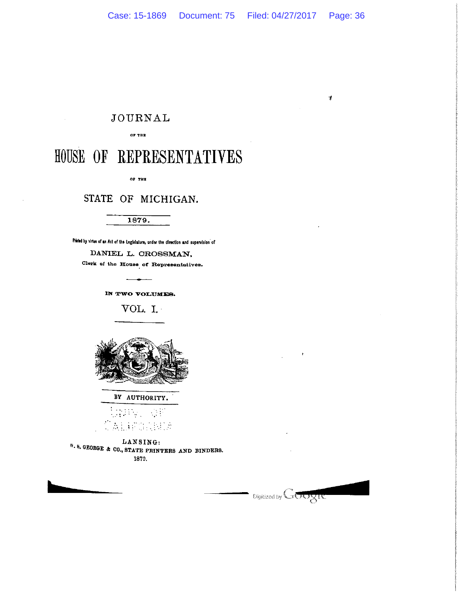$\bar{4}$ 

## **JOURNAL**

#### 317 90

# HOUSE OF REPRESENTATIVES

OF THE

### STATE OF MICHIGAN.

#### 1879.

Printed by virtue of an Act of the Legislature, under the direction and supervision of

#### DANIEL L. CROSSMAN,

Clerk of the House of Representatives.

IN TWO VOLUMES.

VOL. I.



BY AUTHORITY.

 $\mathcal{L}^{\text{max}}$  $\omega_{\rm g}$  $\mathcal{D}_{\mathcal{A}}$ ).

LANSING: W. 8. GEORGE & CO., STATE PRINTERS AND BINDERS. 1879.

**Digitized by GOOSIC** 

 $\bar{1}$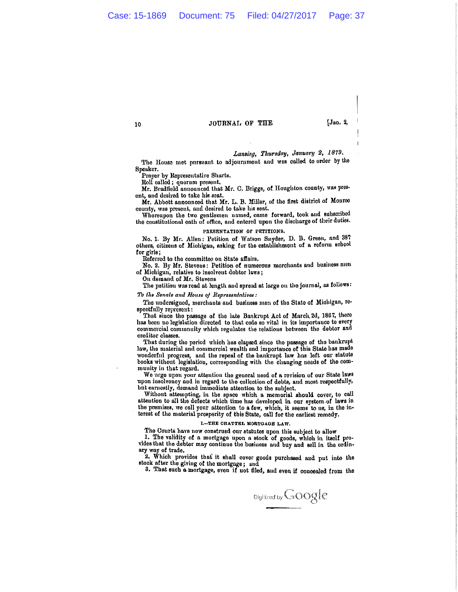JOURNAL OF THE

**Jan. 2,** 

#### Lansing, Thursday, January 2, 1879.

The House met pursuant to adjournment and was called to order by the Speaker.

Prayer by Representative Sharts.

Roll called; quorum present.

Mr. Bradfield announced that Mr. C. Briggs, of Houghton county, was present, and desired to take his seat.

Mr. Abbott announced that Mr. L. B. Miller, of the first district of Monroe county, was present, and desired to take his seat.

Whereupon the two gentlemen named, came forward, took and subscribed the constitutional oath of office, and entered upon the discharge of their duties.

#### PRESENTATION OF PETITIONS.

No. 1. By Mr. Allen: Petition of Watson Snyder, D. B. Green, and 387 others, citizens of Michigan, asking for the establishment of a reform school for girls;

Referred to the committee on State affairs.

No. 2. By Mr. Stevens: Petition of numerous morchants and business men of Michigan, relative to insolvent debtor laws;

On demand of Mr. Stevens

The petition was read at length and spread at large on the journal, as follows:

To the Senate and House of Representatives:

The undersigned, merchants and business men of the State of Michigan, respectfully represent:

That since the passage of the late Bankrupt Act of March 2d, 1867, there has been no legislation directed to that code so vital in its importance to every commercial community which regulates the relations between the debtor and creditor classes.

That during the period which has clapsed since the passage of the bankrupt law, the material and commercial wealth and importance of this State has made wonderful progress, and the repeal of the bankrupt law has left our statute books without legislation, corresponding with the changing needs of the community in that regard.

We urge upon your attention the general need of a revision of our State laws upon insolvoncy and in regard to the collection of debts, and most respectfully, but earnestly, demand immediate attention to the subject.

Without attempting, in the space which a memorial should cover, to call attention to all the defects which time has developed in our system of laws in the premises, we call your attention to a few, which, it seems to us, in the interest of the material prosperity of this State, call for the earliest remedy.

#### I.-THE CHATTEL MORTGAGE LAW.

The Courts have now construed our statutes upon this subject to allow

1. The validity of a mortgage upon a stock of goods, which in itself provides that the debtor may continue the business and buy and sell in the ordinary way of trade.

2. Which provides that it shall cover goods purchased and put into the stock after the giving of the mortgage; and

3. That such a mortgage, even if not filed, and even if concealed from the

Digitized by GOOgle

10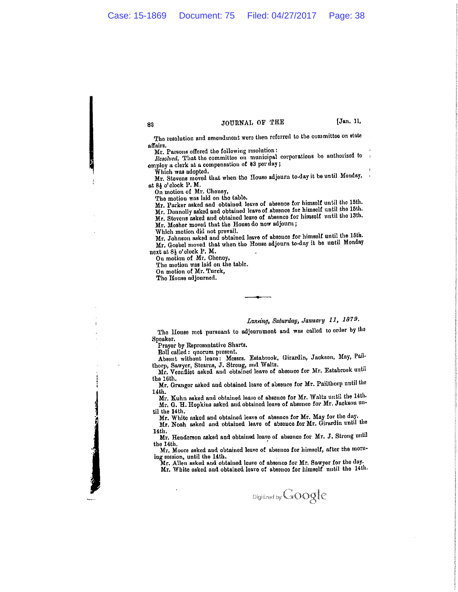[Jan. 11,

The resolution and amendment were then referred to the committee on state affairs.

JOURNAL OF THE

Mr. Parsons offered the following resolution:

Resolved, That the committee on municipal corporations be authorized to employ a clerk at a compensation of \$3 per day;

Which was adopted.

32

Mr. Stevens moved that when the House adjourn to-day it be until Monday, at 84 o'clock P.M.

On motion of Mr. Cheney,

The motion was laid on the table.

Mr. Parker asked and obtained leave of absence for himself until the 15th.

Mr. Donnolly asked and obtained leave of absence for himself until the 15th.

Mr. Stevens asked and obtained leave of absence for himself until the 13th.

Mr. Mosher moved that the House do now adjourn;

Which motion did not prevail.

Mr. Johnson asked and obtained leave of absonce for himself until the 15th. Mr. Goebel moved that when the House adjourn to-day it be until Monday

next at 81 o'clock P. M. On motion of Mr. Cheney,

The motion was laid on the table.

On motion of Mr. Turck,

The House adjourned.

#### Lansing, Saturday, January 11, 1879.

The House met pursuant to adjournment and was called to order by the Speaker.

Prayer by Representative Sharts.

Roll called: quorum present.

Absent without leave: Messrs. Estabrook, Girardin, Jackson, May, Pailthorp, Sawyer, Stearns, J. Strong, and Waltz.

Mr. Veenfliet asked and obtained leave of absence for Mr. Estabrook until the 16th.

Mr. Granger asked and obtained leave of absence for Mr. Pailthorp until the 14th.

Mr. Kuhn asked and obtained leave of absence for Mr. Waltz until the 14th. Mr. G. H. Hopkins asked and obtained leave of absence for Mr. Jackson until the 14th.

Mr. White asked and obtained leave of absence for Mr. May for the day.

Mr. Noah asked and obtained leave of absonce for Mr. Girardin until the 14th.

Mr. Henderson asked and obtained loave of absence for Mr. J. Strong until the 14th.

Mr. Moore asked and obtained leave of absence for himself, after the moruing session, until the 14th.

Mr. Allen asked and obtained leave of absence for Mr. Sawyer for the day.

Mr. White asked and obtained leave of absence for himself until the 14th.

Digitized by GOOgle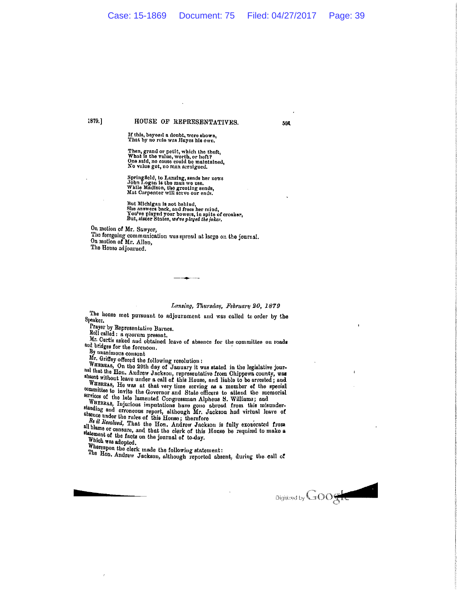594

1879.1

#### HOUSE OF REPRESENTATIVES.

If this, beyond a doubt, were shown,<br>That by no rule was Hayes his own.

Then, grand or petit, which the theft,<br>What is the value, worth, or heft?<br>One said, no cause could be maintained,<br>No value get, no man arraigned.

Springfield, to Lansing, sends her news<br>John Logan is the man wo use.<br>While Madison, the greeting sends,<br>Mat Carpenter will serve our ends.

But Michigau is not behind,<br>She answers back, and frees her mind,<br>You've played your bowers, in spite of croaker,<br>But, sistor States, we've played the joker,

On motion of Mr. Sawyer, The foregoing communication was spread at large on the journal. On motion of Mr. Allen, The House adjourned.

#### Lansing, Thursday, February 20, 1879

The house met pursuant to adjournment and was called to order by the Speaker.

Prayer by Representative Barnes.

Roll called : a quorum present.

Mr. Curtis asked and obtained leave of absence for the committee on ronds and bridges for the forenoon.

By unanimous consont

Mr. Griffey offered the following resolution:

WHEREAS, On the 29th day of January it was stated in the legislative jourhal that the Hon. Andrew Jackson, representative from Chippevia county, was absent without leave under a call of this House, and liable to be arrested; and

absent without leave under a call of this House, and liable to be arrested; and WHEREAS, He was at that very time serving as a member of the special committee to invito the Governor and Stato officers to attend the memori

statement of the facts on the journal of to-day. Which was adopted.

Whereupon the clork made the following statement:

The Hon. Andrew Jackson, although reported absent, during the call of

Digitized by GOO<sub>S</sub>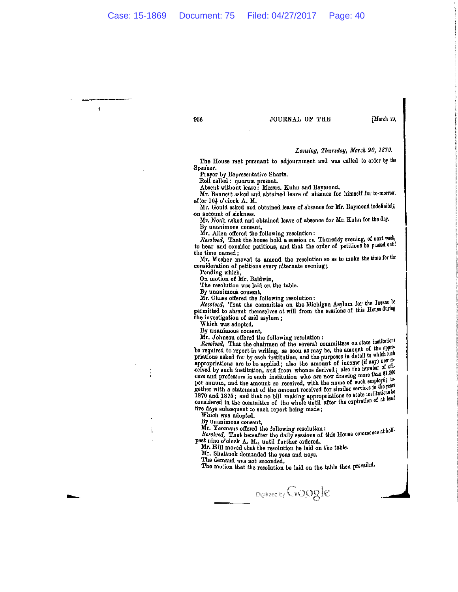956

 $\mathbf{1}$ 

#### JOURNAL OF THE

[March 20,

#### Lansing, Thursday, March 20, 1879.

The House met pursuant to adjournment and was called to order by the Speaker.

Prayor by Representative Sharts.

Roll called : quorum present.

Absent without leave: Messrs. Kuhn and Raymond.

Mr. Bennett asked and abtained leave of absence for himself for to-morror, after 10} o'clock A. M.

Mr. Gould asked and obtained leave of absence for Mr. Raymoud indefinitely, on account of sickness.

Mr. Noah asked and obtained leave of absence for Mr. Kuhn for the day. By unanimous consent,

Mr. Allen offered the following resolution:<br>Resolved, That the house hold a session on Thursday evening, of next week, to hear and consider petitions, and that the order of petitions be passed until the time named:

Mr. Mosher moved to amend the resolution so as to make the time for the consideration of petitions every alternate evening;

Pending which,<br>On motion of Mr. Baldwin,

The resolution was laid on the table.

By unanimous consent,

Mr. Chase offered the following resolution:

Resolved, That the committee on the Michigan Asylum for the Insane be permitted to absent themselves at will from the sessions of this House during the investigation of said asylum;

Which was adopted.

By unanimous consent,

Mr. Johnson offered the following resolution:

Resolved, That the chairmen of the several committees on state institutions be required to report in writing, as soon as may be, the amount of the appropriations asked for by each institution, and the purposes in detail to which such printing asked for by each institution, and the purposes in detail to which such any contract of the such as appropriations are to be applied; also the amount of income (if any) now received by such institution, and from whonce derived; also the number of officers and professors in such institution who are now drawing more than \$1,200 per annum, and the amount so received, with the name of such employé; together with a statement of the amount received for similar services in the years 1870 and 1875; and that no bill making appropriations to state institutions be<br>considered in the committee of the whole until after the expiration of at least<br>five development in the committee of the whole until after the five days subsequent to such report being made;

Which was adopted.

By unanimous consent.

Mr. Yeomans offered the following resolution: Resolved, That hereafter the daily sessions of this House commence at holf-<br>past nine o'clock A, M., until further ordered.<br>Mr. Hill moved that, until further ordered.

Mr. Hill moved that the resolution be laid on the table.

Mr. Shattuck demanded the yeas and nays.

The demand was not seconded.

The motion that the resolution be laid on the table then prevailed.

Digitized by GOOgle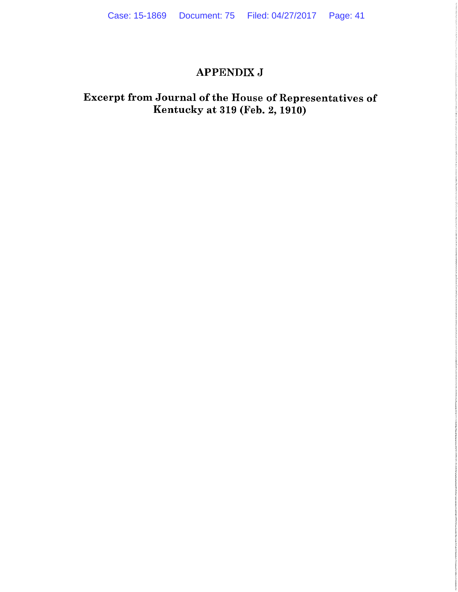### **APPENDIX J**

### Excerpt from Journal of the House of Representatives of Kentucky at 319 (Feb. 2, 1910)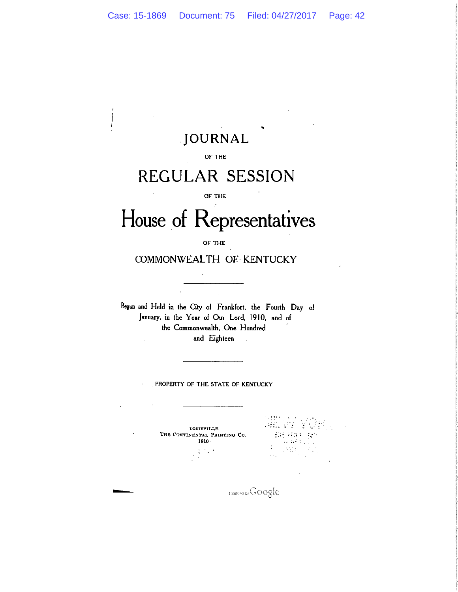# JOURNAL

#### OF THE

# REGULAR SESSION

#### OF THE

# House of Representatives

OF THE

COMMONWEALTH OF KENTUCKY

Begun and Held in the City of Frankfort, the Fourth Day of January, in the Year of Our Lord, 1910, and of the Commonwealth, One Hundred and Eighteen

PROPERTY OF THE STATE OF KENTUCKY

**LOUISVILLE** THE CONTINENTAL PRINTING CO. **1910**  $\{\hat{\beta}_k\}$  $\sim$   $\,$ 

 $\ddot{\phantom{a}}$ 

(部務) 25  $\mathbb{R}^2$  .

**Digetorally GOOgle**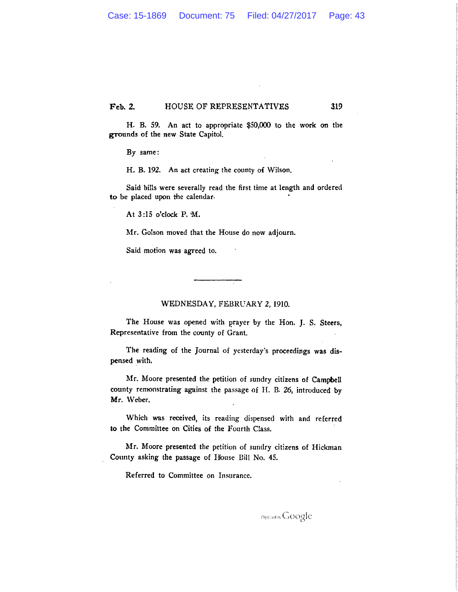Feb. 2. HOUSE OF REPRESENTATIVES 319

H. B. 59. An act to appropriate \$50,000 to the work on the grounds of the new State Capitol.

By same:

H. B. 192. An act creating the county of Wilson.

Said bills were severally read the first time at length and ordered to be placed upon the calendar.

At 3:15 o'clock P. M.

Mr. Golson moved that the House do now adjourn.

Said motion was agreed to.

#### WEDNESDAY, FEBRUARY 2, 1910.

The House was opened with prayer by the Hon. J. S. Steers, Representative from the county of Grant.

The reading of the Journal of yesterday's proceedings was dispensed with.

Mr. Moore presented the petition of sundry citizens of Campbell county remonstrating against the passage of H. B. 26, introduced by Mr. Weber.

Which was received, its reading dispensed with and referred to the Committee on Cities of the Fourth Class.

Mr. Moore presented the petition of sundry citizens of Hickman County asking the passage of House Bill No. 45.

Referred to Committee on Insurance.

Discloom Google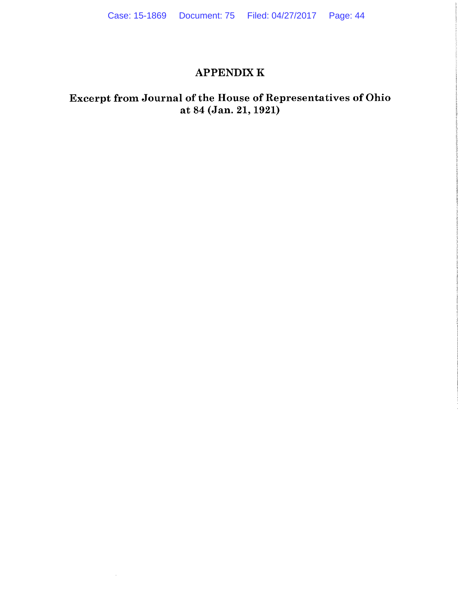### **APPENDIX K**

### Excerpt from Journal of the House of Representatives of Ohio at 84 (Jan. 21, 1921)

 $\sim$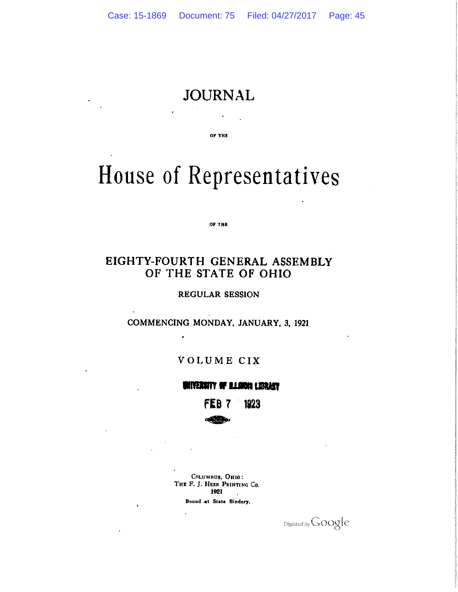# **JOURNAL**

OF THE

# House of Representatives

OF THE

### EIGHTY-FOURTH GENERAL ASSEMBLY OF THE STATE OF OHIO

**REGULAR SESSION** 

COMMENCING MONDAY, JANUARY, 3, 1921

### VOLUME CIX

### **MITERNITY OF BLANCIS LIDRASY**

1923

COLUMBUS, OHIO: THE F. J. HEER PRINTING Co. 1921  $\sim 10$ Bound at State Bindery.

Digitized by Google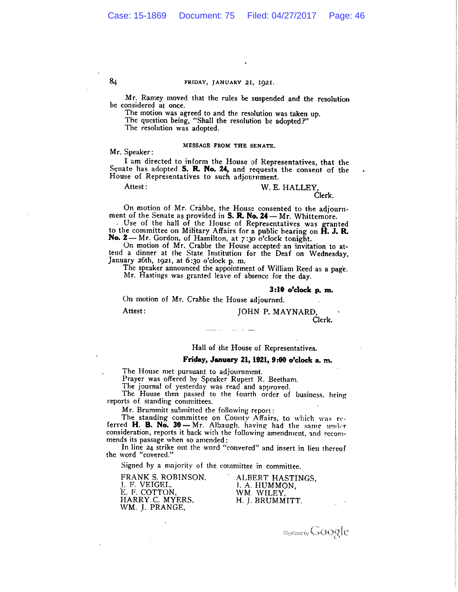#### FRIDAY, JANUARY 21, 1921.

Mr. Ramey moved that the rules be suspended and the resolution be considered at once.

The motion was agreed to and the resolution was taken up.

The question being, "Shall the resolution be adopted?"

The resolution was adopted.

#### MESSAGE FROM THE SENATE.

Mr. Speaker:

I am directed to inform the House of Representatives, that the Senate has adopted S. R. No. 24, and requests the consent of the House of Representatives to such adjournment.

Attest:

#### W. E. HALLEY. Clerk.

On motion of Mr. Crabbe, the House consented to the adjournment of the Senate as provided in S. R. No. 24 - Mr. Whittemore.

Use of the hall of the House of Representatives was granted to the committee on Military Affairs for a public hearing on H. J. R. No. 2-Mr. Gordon, of Hamilton, at 7:30 o'clock tonight.

On motion of Mr. Crabbe the House accepted an invitation to attend a dinner at the State Institution for the Deaf on Wednesday, January 26th, 1921, at 6:30 o'clock p. m.

The speaker announced the appointment of William Reed as a page. Mr. Hastings was granted leave of absence for the day.

#### 3:10 o'clock p. m.

On motion of Mr. Crabbe the House adjourned.

Attest:

### JOHN P. MAYNARD,

Clerk.

#### Hall of the House of Representatives.

#### Friday, January 21, 1921, 9:00 o'clock a. m.

The House met pursuant to adjournment.

Prayer was offered by Speaker Rupert R. Beetham.

The journal of yesterday was read and approved.<br>The House then passed to the fourth order of business, being reports of standing committees.

Mr. Brummitt submitted the following report:

The standing committee on County Affairs, to which was referred H. B. No. 30 - Mr. Albaugh, having had the same under consideration, reports it back with the following amendment, and recommends its passage when so amended:

In line 24 strike out the word "convered" and insert in lieu thereof the word "covered."

Signed by a majority of the committee in committee.

FRANK S. ROBINSON, J. F. VEIGEL.<br>E. F. COTTON. HARRY C. MYERS, WM. J. PRANGE,

ALBERT HASTINGS. I. A. HUMMON, WM. WILEY. H. J. BRUMMITT.

Digitized by GOOgle

 $8<sub>4</sub>$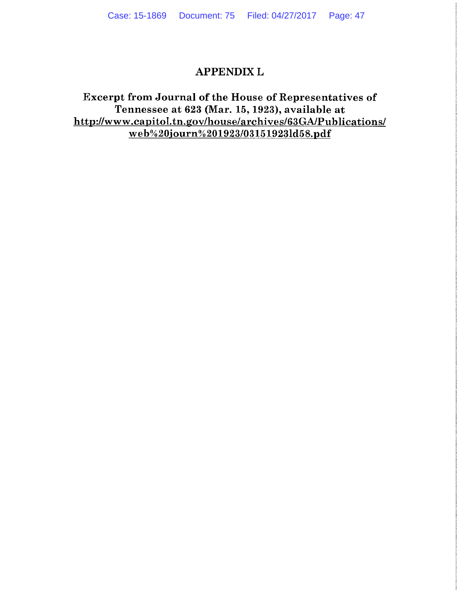### **APPENDIX L**

### Excerpt from Journal of the House of Representatives of Tennessee at 623 (Mar. 15, 1923), available at http://www.capitol.tn.gov/house/archives/63GA/Publications/ web%20journ%201923/03151923ld58.pdf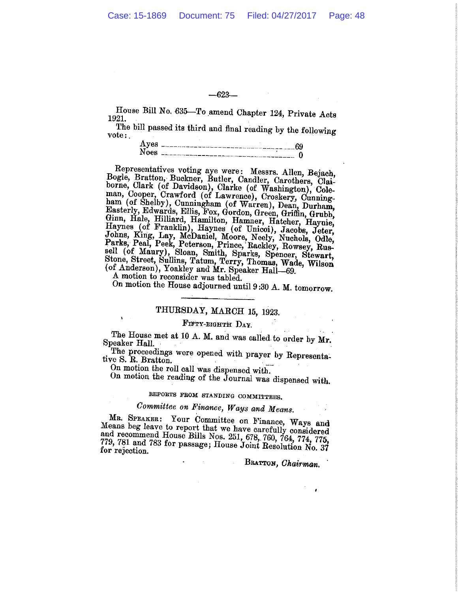$-623-$ 

House Bill No. 635-To amend Chapter 124, Private Acts 1921.

The bill passed its third and final reading by the following vote:

| Aves        | ----------------------------------09 |  |
|-------------|--------------------------------------|--|
| <b>Noes</b> |                                      |  |

Representatives voting aye were: Messrs. Allen, Bejach, Bogle, Bratton, Buckner, Butler, Candler, Carothers, Claiborne, Clark (of Davidson), Clarke (of Washington), Coleman, Cooper, Crawford (of Lawrence), Croskery, Cunning-<br>ham (of Shelby), Cunningham (of Warren), Dean, Durham, Easterly, Edwards, Ellis, Fox, Gordon, Green, Griffin, Grubb, Basterly, Edwards, Ellis, Fox, Gordon, Green, Griffin, Grubb,<br>Ginn, Hale, Hilliard, Hamilton, Hamner, Hatcher, Haynie,<br>Haynes (of Franklin), Haynes (of Unicoi), Jacobs, Jeter,<br>Johns, King, Lay, McDaniel, Moore, Neely, Nuch

A motion to reconsider was tabled.

On motion the House adjourned until 9:30 A. M. tomorrow.

### THURSDAY, MARCH 15, 1923.

#### FIFTY-EIGHTH DAY.

The House met at 10 A. M. and was called to order by Mr. Speaker Hall.

The proceedings were opened with prayer by Representative S. R. Bratton.

On motion the roll call was dispensed with.

On motion the reading of the Journal was dispensed with.

### REPORTS FROM STANDING COMMITTEES.

### Committee on Finance, Ways and Means.

MR. SPEAKER: Your Committee on Finance, Ways and Means beg leave to report that we have carefully considered and recommend House Bills Nos. 251, 678, 760, 764, 774, 775, 779, 781 and 783 for passage; House Joint Resolution No. 37 for rejection.

 $\mathcal{O}(\mathcal{O}(\log n))$  and  $\mathcal{O}(\log n)$ 

BRATTON, Chairman.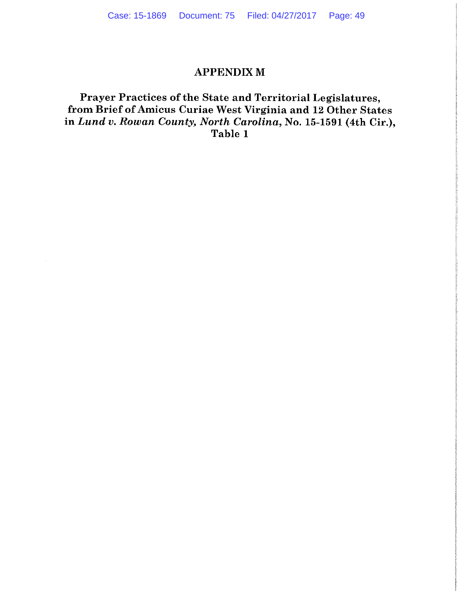### **APPENDIX M**

### Prayer Practices of the State and Territorial Legislatures, from Brief of Amicus Curiae West Virginia and 12 Other States in Lund v. Rowan County, North Carolina, No. 15-1591 (4th Cir.), Table 1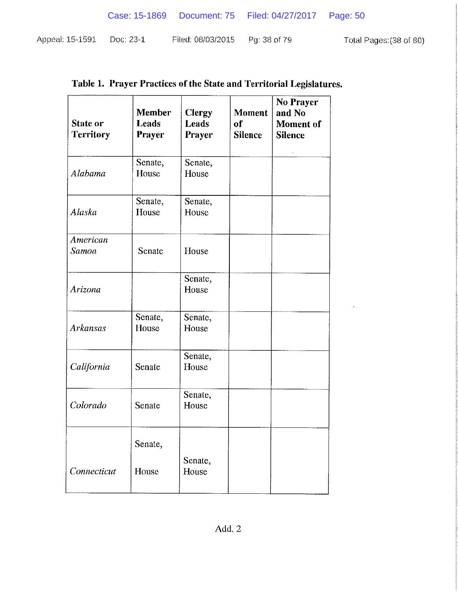|                 |           |                   | Case: 15-1869  Document: 75  Filed: 04/27/2017  Page: 50 |                         |
|-----------------|-----------|-------------------|----------------------------------------------------------|-------------------------|
| Appeal: 15-1591 | Doc: 23-1 | Filed: 08/03/2015 | - Pg: 38 of 79                                           | Total Pages: (38 of 80) |

| <b>State or</b><br><b>Territory</b> | <b>Member</b><br>Leads<br><b>Prayer</b> | <b>Clergy</b><br>Leads<br>Prayer | <b>Moment</b><br>of<br><b>Silence</b> | No Prayer<br>and No<br><b>Moment</b> of<br><b>Silence</b> |
|-------------------------------------|-----------------------------------------|----------------------------------|---------------------------------------|-----------------------------------------------------------|
| Alabama                             | Senate,<br>House                        | Senate,<br>House                 |                                       |                                                           |
| Alaska                              | Senate,<br>House                        | Senate,<br>House                 |                                       |                                                           |
| American<br>Samoa                   | Senate                                  | House                            |                                       |                                                           |
| Arizona                             |                                         | Senate,<br>House                 |                                       |                                                           |
| <b>Arkansas</b>                     | Senate,<br>House                        | Senate,<br>House                 |                                       |                                                           |
| California                          | Senate                                  | Senate,<br>House                 |                                       |                                                           |
| Colorado                            | Senate                                  | Senate,<br>House                 |                                       |                                                           |
|                                     | Senate,                                 |                                  |                                       |                                                           |
| Connecticut                         | House                                   | Senate,<br>House                 |                                       |                                                           |

 $\ddot{\phantom{a}}$ 

# Table 1. Prayer Practices of the State and Territorial Legislatures.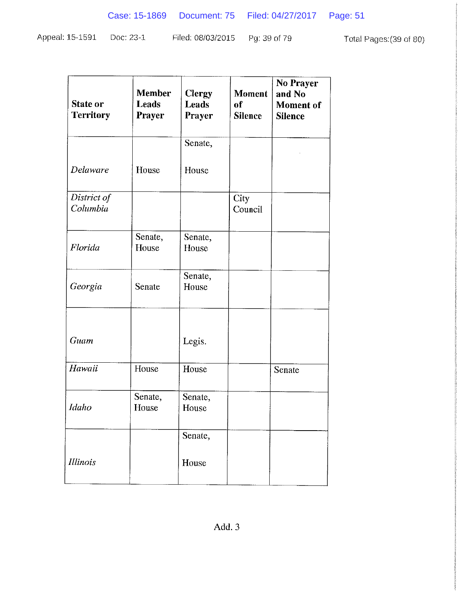Appeal: 15-1591 Doc: 23-1 Filed: 08/03/2015 Total Pages: (39 of 80) Pg: 39 of 79

| <b>State or</b><br><b>Territory</b> | <b>Member</b><br><b>Leads</b><br><b>Prayer</b> | <b>Clergy</b><br><b>Leads</b><br><b>Prayer</b> | <b>Moment</b><br>of<br><b>Silence</b> | No Prayer<br>and No<br><b>Moment</b> of<br><b>Silence</b> |
|-------------------------------------|------------------------------------------------|------------------------------------------------|---------------------------------------|-----------------------------------------------------------|
|                                     |                                                | Senate,                                        |                                       |                                                           |
| Delaware                            | House                                          | House                                          |                                       |                                                           |
| District of<br>Columbia             |                                                |                                                | City<br>Council                       |                                                           |
| Florida                             | Senate,<br>House                               | Senate,<br>House                               |                                       |                                                           |
| Georgia                             | Senate                                         | Senate,<br>House                               |                                       |                                                           |
| Guam                                |                                                | Legis.                                         |                                       |                                                           |
| Hawaii                              | House                                          | House                                          |                                       | Senate                                                    |
| Idaho                               | Senate,<br>House                               | Senate,<br>House                               |                                       |                                                           |
|                                     |                                                | Senate,                                        |                                       |                                                           |
| Illinois                            |                                                | House                                          |                                       |                                                           |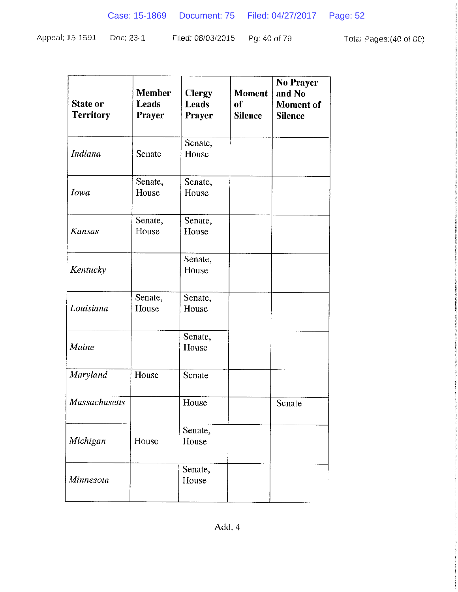| Appeal: 15-1591 | Doc: 23-1 | Filed: 08/03/2015    Pg: 40 of 79 |  | Total Pages: (40 of 80) |
|-----------------|-----------|-----------------------------------|--|-------------------------|
|-----------------|-----------|-----------------------------------|--|-------------------------|

| <b>Member</b><br>Leads<br>Prayer | <b>Clergy</b><br>Leads<br>Prayer | <b>Moment</b><br>of<br><b>Silence</b> | <b>No Prayer</b><br>and No<br><b>Moment</b> of<br><b>Silence</b> |
|----------------------------------|----------------------------------|---------------------------------------|------------------------------------------------------------------|
| Senate                           | Senate,<br>House                 |                                       |                                                                  |
| Senate,<br>House                 | Senate,<br>House                 |                                       |                                                                  |
| Senate,<br>House                 | Senate,<br>House                 |                                       |                                                                  |
|                                  | Senate,<br>House                 |                                       |                                                                  |
| Senate,<br>House                 | Senate,<br>House                 |                                       |                                                                  |
|                                  | Senate,<br>House                 |                                       |                                                                  |
| House                            | Senate                           |                                       |                                                                  |
|                                  | House                            |                                       | Senate                                                           |
| House                            | Senate,<br>House                 |                                       |                                                                  |
|                                  | Senate,<br>House                 |                                       |                                                                  |
|                                  |                                  |                                       |                                                                  |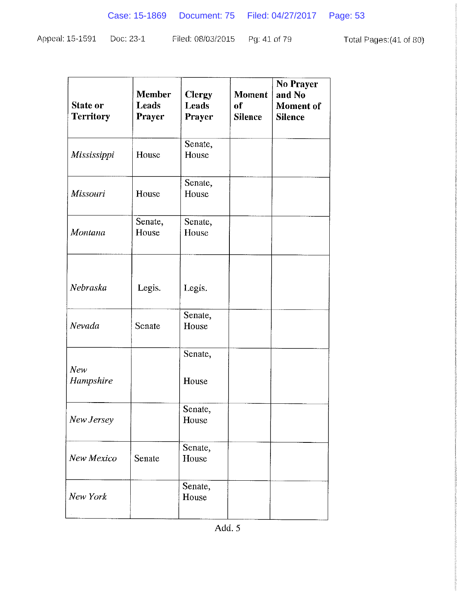Pg: 41 of 79 Appeal: 15-1591 Doc: 23-1 Filed: 08/03/2015 Total Pages: (41 of 80)

| <b>Member</b><br>Leads<br>Prayer | <b>Clergy</b><br><b>Leads</b><br>Prayer | <b>Moment</b><br>of<br><b>Silence</b> | <b>No Prayer</b><br>and No<br><b>Moment</b> of<br><b>Silence</b> |
|----------------------------------|-----------------------------------------|---------------------------------------|------------------------------------------------------------------|
| House                            | Senate,<br>House                        |                                       |                                                                  |
| House                            | Senate,<br>House                        |                                       |                                                                  |
| Senate,<br>House                 | Senate,<br>House                        |                                       |                                                                  |
| Legis.                           | Legis.                                  |                                       |                                                                  |
| Senate                           | Senate,<br>House                        |                                       |                                                                  |
|                                  | Senate,                                 |                                       |                                                                  |
|                                  | House                                   |                                       |                                                                  |
|                                  | Senate,<br>House                        |                                       |                                                                  |
| Senate                           | Senate,<br>House                        |                                       |                                                                  |
|                                  | Senate,<br>House                        |                                       |                                                                  |
|                                  |                                         |                                       |                                                                  |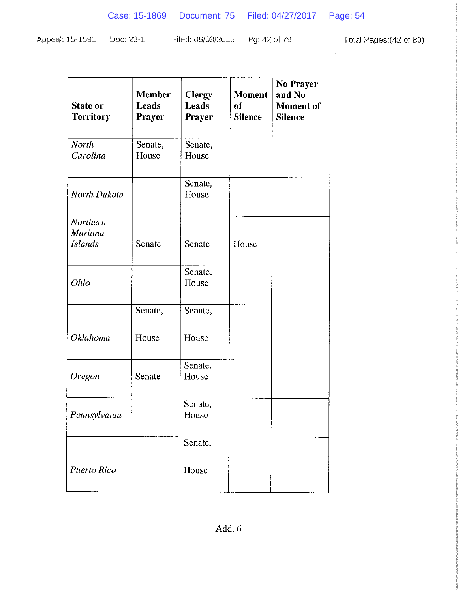$\mathbf{v}^{(1)}$  .

| Appeal: 15-1591 Doc: 23-1 | Filed: 08/03/2015   Pg: 42 of 79 | Total Pages: (42 of 80) |
|---------------------------|----------------------------------|-------------------------|
|                           |                                  |                         |

| State or<br><b>Territory</b>                 | <b>Member</b><br><b>Leads</b><br><b>Prayer</b> | <b>Clergy</b><br><b>Leads</b><br><b>Prayer</b> | <b>Moment</b><br>of<br><b>Silence</b> | <b>No Prayer</b><br>and No<br><b>Moment</b> of<br><b>Silence</b> |
|----------------------------------------------|------------------------------------------------|------------------------------------------------|---------------------------------------|------------------------------------------------------------------|
| <b>North</b><br>Carolina                     | Senate,<br>House                               | Senate,<br>House                               |                                       |                                                                  |
| North Dakota                                 |                                                | Senate,<br>House                               |                                       |                                                                  |
| Northern<br><b>Mariana</b><br><b>Islands</b> | Senate                                         | Senate                                         | House                                 |                                                                  |
| Ohio                                         |                                                | Senate,<br>House                               |                                       |                                                                  |
|                                              | Senate,                                        | Senate,                                        |                                       |                                                                  |
| Oklahoma                                     | House                                          | House                                          |                                       |                                                                  |
| Oregon                                       | Senate                                         | Senate,<br>House                               |                                       |                                                                  |
| Pennsylvania                                 |                                                | Senate,<br>House                               |                                       |                                                                  |
|                                              |                                                | Senate,                                        |                                       |                                                                  |
| <b>Puerto Rico</b>                           |                                                | House                                          |                                       |                                                                  |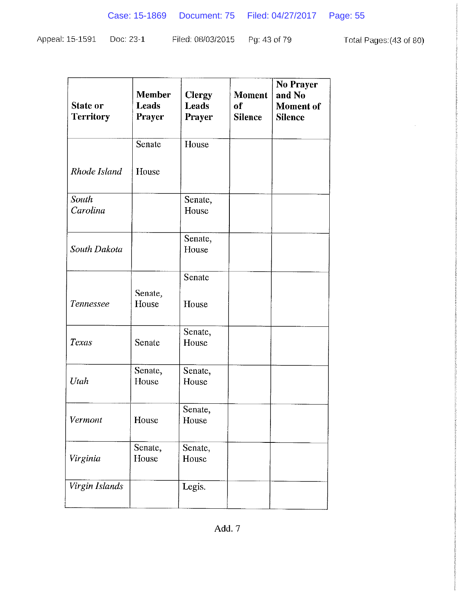$\epsilon$ 

| Appeal: 15-1591 Doc: 23-1 |  | Filed: 08/03/2015 Pg: 43 of 79 |  | Total Pages: (43 of 80) |
|---------------------------|--|--------------------------------|--|-------------------------|
|---------------------------|--|--------------------------------|--|-------------------------|

| <b>State or</b><br><b>Territory</b> | <b>Member</b><br>Leads<br><b>Prayer</b> | <b>Clergy</b><br><b>Leads</b><br><b>Prayer</b> | <b>Moment</b><br>of<br><b>Silence</b> | No Prayer<br>and No<br><b>Moment</b> of<br><b>Silence</b> |
|-------------------------------------|-----------------------------------------|------------------------------------------------|---------------------------------------|-----------------------------------------------------------|
|                                     | Senate                                  | House                                          |                                       |                                                           |
| Rhode Island                        | House                                   |                                                |                                       |                                                           |
| South<br>Carolina                   |                                         | Senate,<br>House                               |                                       |                                                           |
| South Dakota                        |                                         | Senate,<br>House                               |                                       |                                                           |
|                                     |                                         | Senate                                         |                                       |                                                           |
| Tennessee                           | Senate,<br>House                        | House                                          |                                       |                                                           |
| Texas                               | Senate                                  | Senate,<br>House                               |                                       |                                                           |
| Utah                                | Senate,<br>House                        | Senate,<br>House                               |                                       |                                                           |
| Vermont                             | House                                   | Senate,<br>House                               |                                       |                                                           |
| Virginia                            | Senate,<br>House                        | Senate,<br>House                               |                                       |                                                           |
| Virgin Islands                      |                                         | Legis.                                         |                                       |                                                           |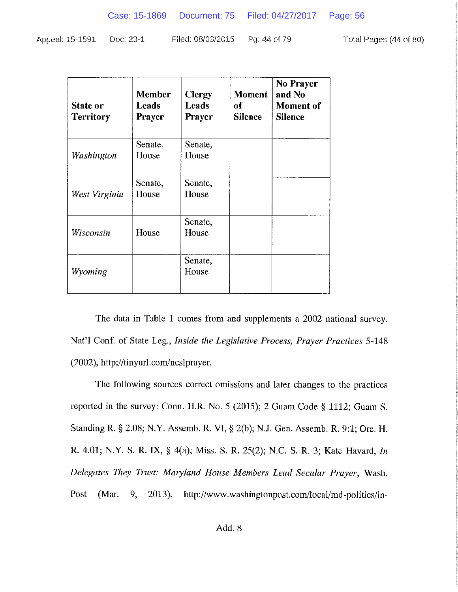| <b>State or</b><br><b>Territory</b> | <b>Member</b><br>Leads<br><b>Prayer</b> | <b>Clergy</b><br>Leads<br><b>Prayer</b> | <b>Moment</b><br>оf<br><b>Silence</b> | No Prayer<br>and No<br><b>Moment</b> of<br><b>Silence</b> |
|-------------------------------------|-----------------------------------------|-----------------------------------------|---------------------------------------|-----------------------------------------------------------|
| Washington                          | Senate,<br>House                        | Senate,<br>House                        |                                       |                                                           |
| West Virginia                       | Senate,<br>House                        | Senate,<br>House                        |                                       |                                                           |
| Wisconsin                           | House                                   | Senate,<br>House                        |                                       |                                                           |
| Wyoming                             |                                         | Senate,<br>House                        |                                       |                                                           |

The data in Table 1 comes from and supplements a 2002 national survey. Nat'l Conf. of State Leg., Inside the Legislative Process, Prayer Practices 5-148 (2002), http://tinyurl.com/ncslprayer.

The following sources correct omissions and later changes to the practices reported in the survey: Conn. H.R. No. 5 (2015); 2 Guam Code § 1112; Guam S. Standing R. § 2.08; N.Y. Assemb. R. VI, § 2(b); N.J. Gen. Assemb. R. 9:1; Ore. H. R. 4.01; N.Y. S. R. IX, § 4(a); Miss. S. R. 25(2); N.C. S. R. 3; Kate Havard, In Delegates They Trust: Maryland House Members Lead Secular Prayer, Wash. Post 9,  $2013$ , (Mar. http://www.washingtonpost.com/local/md-politics/in-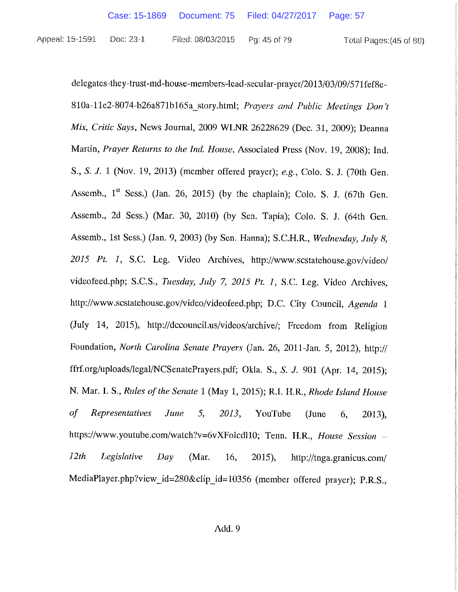Total Pages: (45 of 80)

delegates-they-trust-md-house-members-lead-secular-prayer/2013/03/09/571fef8e-810a-11e2-8074-b26a871b165a story.html; Prayers and Public Meetings Don't Mix, Critic Says, News Journal, 2009 WLNR 26228629 (Dec. 31, 2009): Deanna Martin, Prayer Returns to the Ind. House, Associated Press (Nov. 19, 2008); Ind. S., S. J. 1 (Nov. 19, 2013) (member offered prayer); e.g., Colo. S. J. (70th Gen. Assemb., 1<sup>st</sup> Sess.) (Jan. 26, 2015) (by the chaplain); Colo. S. J. (67th Gen. Assemb., 2d Sess.) (Mar. 30, 2010) (by Sen. Tapia); Colo. S. J. (64th Gen. Assemb., 1st Sess.) (Jan. 9, 2003) (by Sen. Hanna); S.C.H.R., Wednesday, July 8, 2015 Pt. 1, S.C. Leg. Video Archives, http://www.scstatehouse.gov/video/ videofeed.php; S.C.S., Tuesday, July 7, 2015 Pt. 1, S.C. Leg. Video Archives, http://www.scstatehouse.gov/video/videofeed.php; D.C. City Council, Agenda 1 (July 14, 2015), http://dccouncil.us/videos/archive/; Freedom from Religion Foundation, North Carolina Senate Prayers (Jan. 26, 2011-Jan. 5, 2012), http:// ffrf.org/uploads/legal/NCSenatePrayers.pdf; Okla. S., S. J. 901 (Apr. 14, 2015); N. Mar. I. S., Rules of the Senate 1 (May 1, 2015); R.I. H.R., Rhode Island House  $of$ **Representatives** 5, June 2013, YouTube 6, (June  $2013$ ), https://www.youtube.com/watch?v=6vXFolcd110; Tenn. H.R., House Session - $12th$ Legislative  $Day$ (Mar. 16.  $2015$ , http://tnga.granicus.com/ MediaPlayer.php?view\_id=280&clip\_id=10356 (member offered prayer); P.R.S.,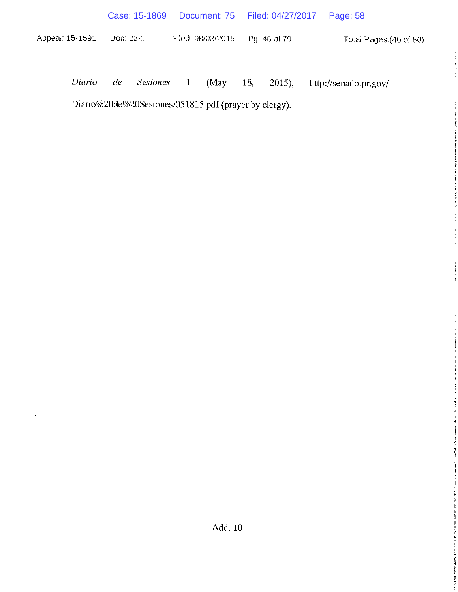|                 |           | Case: 15-1869   |          |                   |     | Document: 75   Filed: 04/27/2017 | Page: 58                |
|-----------------|-----------|-----------------|----------|-------------------|-----|----------------------------------|-------------------------|
| Appeal: 15-1591 | Doc: 23-1 |                 |          | Filed: 08/03/2015 |     | Pg: 46 of 79                     | Total Pages: (46 of 80) |
|                 |           |                 |          |                   |     |                                  |                         |
| Diario          | de        | <i>Sesiones</i> | $\sim$ 1 | (May)             | 18, | $2015$ ,                         | http://senado.pr.gov/   |

Diario%20de%20Sesiones/051815.pdf (prayer by clergy).

 $\sim$ 

 $\mathcal{A}_{\mathcal{A}}$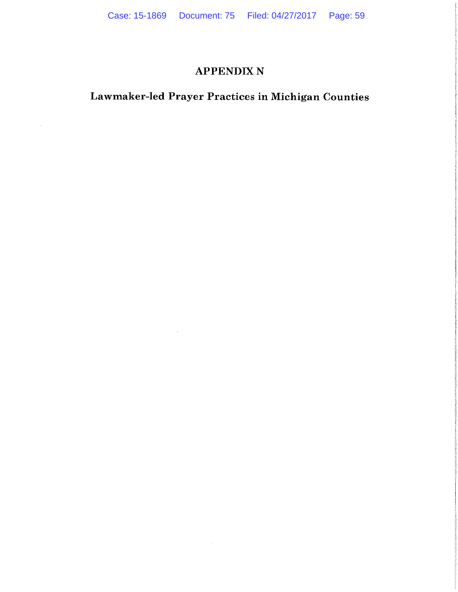### **APPENDIX N**

# Lawmaker-led Prayer Practices in Michigan Counties

 $\mathcal{L}$ 

 $\sim$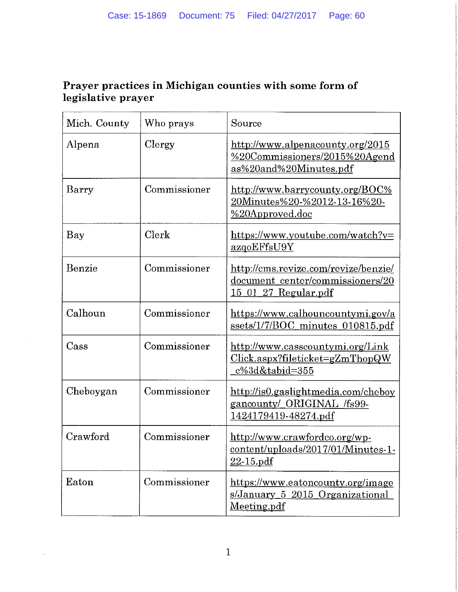### Prayer practices in Michigan counties with some form of legislative prayer

| Mich. County | Who prays    | Source                                                                                           |
|--------------|--------------|--------------------------------------------------------------------------------------------------|
| Alpena       | Clergy       | http://www.alpenacounty.org/2015<br>%20Commissioners/2015%20Agend<br>as%20and%20Minutes.pdf      |
| Barry        | Commissioner | http://www.barrycounty.org/BOC%<br>20Minutes%20-%2012-13-16%20-<br>%20Approved.doc               |
| Bay          | Clerk        | https://www.youtube.com/watch?v=<br><u>azqoEFfsU9Y</u>                                           |
| Benzie       | Commissioner | http://cms.revize.com/revize/benzie/<br>document center/commissioners/20<br>15 01 27 Regular.pdf |
| Calhoun      | Commissioner | https://www.calhouncountymi.gov/a<br>ssets/1/7/BOC_minutes_010815.pdf                            |
| Cass         | Commissioner | http://www.casscountymi.org/Link<br>Click.aspx?fileticket=gZmThopQW<br>c%3d&tabid=355            |
| Cheboygan    | Commissioner | http://is0.gaslightmedia.com/cheboy<br>gancounty/ ORIGINAL /fs99-<br>1424179419-48274.pdf        |
| Crawford     | Commissioner | http://www.crawfordco.org/wp-<br>content/uploads/2017/01/Minutes-1-<br>$22 - 15$ pdf             |
| Eaton        | Commissioner | https://www.eatoncounty.org/image<br><u>s/January 5 2015 Organizational</u><br>Meeting pdf       |

 $\ddot{\phantom{a}}$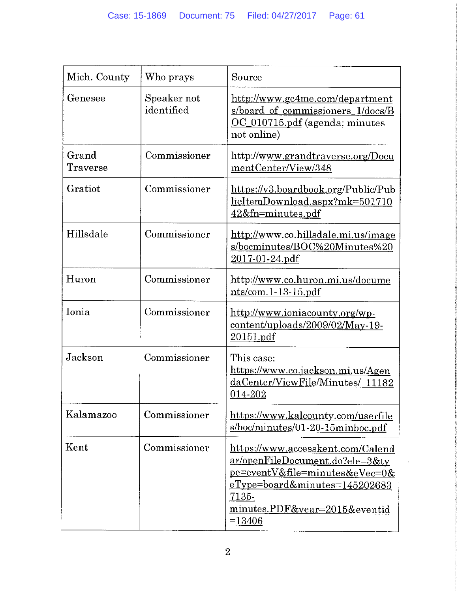| Mich. County      | Who prays                 | Source                                                                                                                                                                                                                     |
|-------------------|---------------------------|----------------------------------------------------------------------------------------------------------------------------------------------------------------------------------------------------------------------------|
| Genesee           | Speaker not<br>identified | http://www.gc4me.com/department<br>s/board of commissioners 1/docs/B<br>OC_010715.pdf (agenda; minutes<br>not online)                                                                                                      |
| Grand<br>Traverse | Commissioner              | http://www.grandtraverse.org/Docu<br>mentCenter/View/348                                                                                                                                                                   |
| Gratiot           | Commissioner              | https://v3.boardbook.org/Public/Pub<br>licItemDownload.aspx?mk=501710<br>42&fn=minutes.pdf                                                                                                                                 |
| Hillsdale         | Commissioner              | http://www.co.hillsdale.mi.us/image<br>s/bocminutes/BOC%20Minutes%20<br>2017-01-24.pdf                                                                                                                                     |
| Huron             | Commissioner              | http://www.co.huron.mi.us/docume<br>$nts / com. 1-13-15.pdf$                                                                                                                                                               |
| Ionia             | Commissioner              | http://www.ioniacounty.org/wp-<br>content/uploads/2009/02/May-19-<br>20151.pdf                                                                                                                                             |
| Jackson           | Commissioner              | This case:<br>https://www.co.jackson.mi.us/Agen<br>daCenter/ViewFile/Minutes/ 11182<br>014-202                                                                                                                             |
| Kalamazoo         | Commissioner              | https://www.kalcounty.com/userfile<br>s/boc/minutes/01-20-15minboc.pdf                                                                                                                                                     |
| Kent              | Commissioner              | https://www.accesskent.com/Calend<br><u>ar/openFileDocument.do?ele=3&amp;ty</u><br>pe=eventV&file=minutes&eVec=0&<br><u>eType=board&amp;minutes=145202683</u><br><u>7135-</u><br>minutes.PDF&year=2015&eventid<br>$=13406$ |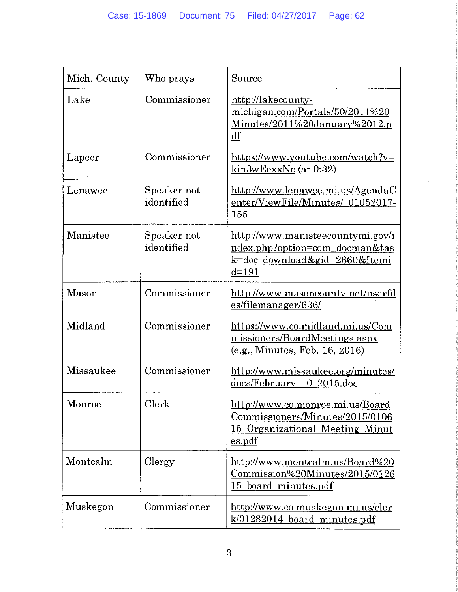| Mich. County | Who prays                 | Source                                                                                                                  |
|--------------|---------------------------|-------------------------------------------------------------------------------------------------------------------------|
| Lake         | Commissioner              | http://lakecounty-<br>michigan.com/Portals/50/2011%20<br>Minutes/2011%20January%2012.p<br>df                            |
| Lapeer       | Commissioner              | https://www.youtube.com/watch?v=<br>$\overline{\text{kin3wEexxNc}}$ (at 0:32)                                           |
| Lenawee      | Speaker not<br>identified | http://www.lenawee.mi.us/AgendaC<br>enter/ViewFile/Minutes/ 01052017-<br>155                                            |
| Manistee     | Speaker not<br>identified | http://www.manisteecountymi.gov/i<br>ndex.php?option=com_docman&tas<br>k=doc_download&gid=2660&Itemi<br>$d = 191$       |
| Mason        | Commissioner              | http://www.masoncounty.net/userfil<br>es/filemanager/636/                                                               |
| Midland      | Commissioner              | https://www.co.midland.mi.us/Com<br>missioners/BoardMeetings.aspx<br>(e.g., Minutes, Feb. 16, 2016)                     |
| Missaukee    | Commissioner              | http://www.missaukee.org/minutes/<br>docs/February 10 2015.doc                                                          |
| Monroe       | Clerk                     | <u>http://www.co.monroe.mi.us/Board</u><br>Commissioners/Minutes/2015/0106<br>15 Organizational Meeting Minut<br>es.pdf |
| Montcalm     | Clergy                    | http://www.montcalm.us/Board%20<br>Commission%20Minutes/2015/0126<br>15 board minutes.pdf                               |
| Muskegon     | Commissioner              | http://www.co.muskegon.mi.us/cler<br>k/01282014 board minutes.pdf                                                       |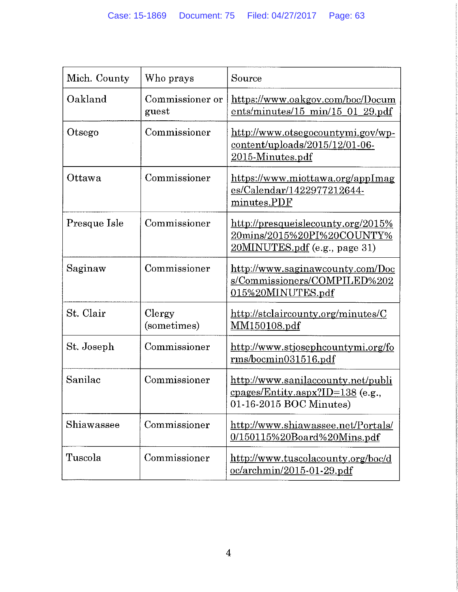| Mich. County | Who prays                | Source                                                                                                   |
|--------------|--------------------------|----------------------------------------------------------------------------------------------------------|
| Oakland      | Commissioner or<br>guest | https://www.oakgov.com/boc/Docum<br>$ents/minutes/15 min/15_01_29.pdf$                                   |
| Otsego       | Commissioner             | http://www.otsegocountymi.gov/wp-<br>$content-uploads/2015/12/01-06-$<br>2015-Minutes.pdf                |
| Ottawa       | Commissioner             | https://www.miottawa.org/appImag<br>es/Calendar/1422977212644-<br>minutes.PDF                            |
| Presque Isle | Commissioner             | http://presqueislecounty.org/2015%<br><u>20mins/2015%20PI%20COUNTY%</u><br>20MINUTES.pdf (e.g., page 31) |
| Saginaw      | Commissioner             | http://www.saginawcounty.com/Doc<br>s/Commissioners/COMPILED%202<br>015%20MINUTES.pdf                    |
| St. Clair    | Clergy<br>(sometimes)    | http://stclaircounty.org/minutes/C<br><u>MM150108.pdf</u>                                                |
| St. Joseph   | Commissioner             | http://www.stjosephcountymi.org/fo<br>rms/bocmin031516.pdf                                               |
| Sanilac      | Commissioner             | http://www.sanilaccounty.net/publi<br>$cpages/Entity.aspx?ID=138$ (e.g.,<br>01-16-2015 BOC Minutes)      |
| Shiawassee   | Commissioner             | http://www.shiawassee.net/Portals/<br>$0/150115\%20$ Board%20Mins.pdf                                    |
| Tuscola      | Commissioner             | http://www.tuscolacounty.org/boc/d<br>$oc/archmin/2015-01-29.pdf$                                        |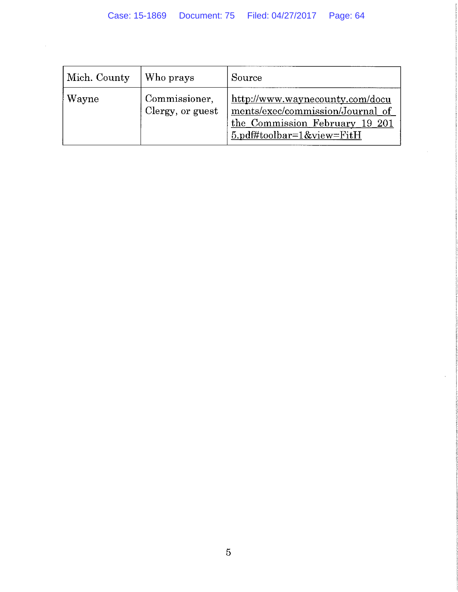$\sim$ 

| Mich. County | Who prays                         | Source                                                                                                                                |
|--------------|-----------------------------------|---------------------------------------------------------------------------------------------------------------------------------------|
| Wayne        | Commissioner,<br>Clergy, or guest | http://www.waynecounty.com/docu<br>ments/exec/commission/Journal_of<br>the Commission February 19 201<br>$5.$ pdf#toolbar=1&view=FitH |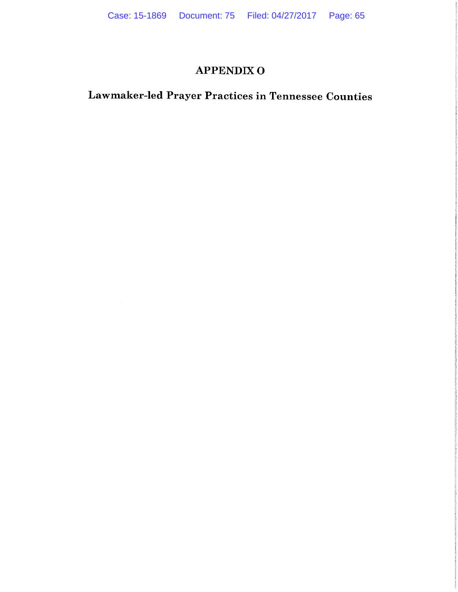### **APPENDIX O**

# Lawmaker-led Prayer Practices in Tennessee Counties

 $\sim 10^7$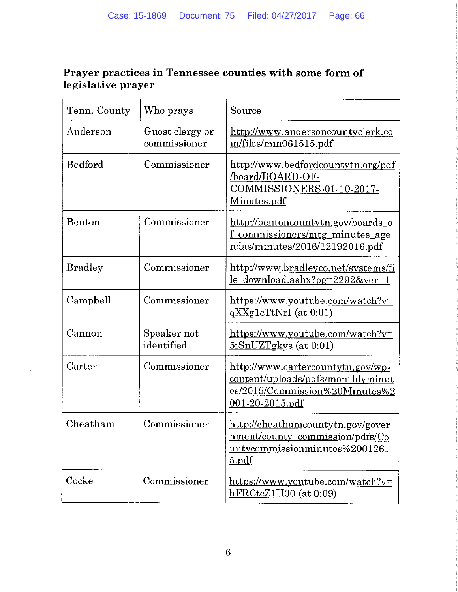### Prayer practices in Tennessee counties with some form of legislative prayer

| Tenn. County   | Who prays                       | Source                                                                                                                                    |
|----------------|---------------------------------|-------------------------------------------------------------------------------------------------------------------------------------------|
| Anderson       | Guest clergy or<br>commissioner | http://www.andersoncountyclerk.co<br>m/files/min061515.pdf                                                                                |
| Bedford        | Commissioner                    | http://www.bedfordcountytn.org/pdf<br>/board/BOARD-OF-<br><u>COMMISSIONERS-01-10-2017-</u><br>Minutes.pdf                                 |
| Benton         | Commissioner                    | http://bentoncountytn.gov/boards_o<br>commissioners/mtg minutes age<br>ndas/minutes/2016/12192016.pdf                                     |
| <b>Bradley</b> | Commissioner                    | http://www.bradleyco.net/systems/fi<br><u>le_download.ashx?pg=2292&amp;ver=1</u>                                                          |
| Campbell       | Commissioner                    | $\frac{\text{https://www.youtube.com/watch?v=}}{\text{https://www.youtube.com/watch?v=}}$<br>$qXXg1cTtNrI$ (at 0:01)                      |
| Cannon         | Speaker not<br>identified       | $\frac{\text{https://www.youtube.com/watch?v=}}{\text{https://www.youtube.com/watch?v=}}$<br>$5iSnUZTgkys$ (at 0:01)                      |
| Carter         | Commissioner                    | http://www.cartercountytn.gov/wp-<br><u>content/uploads/pdfs/monthlyminut</u><br>es/2015/Commission%20Minutes%2<br><u>001-20-2015.pdf</u> |
| Cheatham       | Commissioner                    | http://cheathamcountytn.gov/gover<br><u>nment/county_commission/pdfs/Co</u><br>untycommissionminutes%2001261<br>5.pdf                     |
| Cocke          | Commissioner                    | https://www.youtube.com/watch?v=<br>$hFRCtcZ1H30$ (at 0:09)                                                                               |

 $\pm$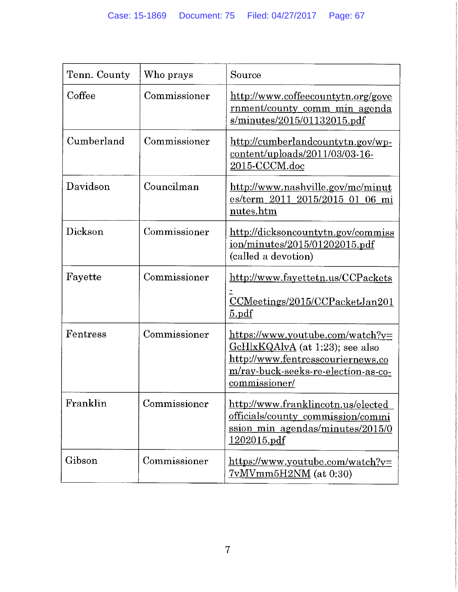| Tenn. County | Who prays    | Source                                                                                                                                                           |
|--------------|--------------|------------------------------------------------------------------------------------------------------------------------------------------------------------------|
| Coffee       | Commissioner | http://www.coffeecountytn.org/gove<br>rnment/county comm min agenda<br>s/minutes/2015/01132015.pdf                                                               |
| Cumberland   | Commissioner | http://cumberlandcountytn.gov/wp-<br>content/uploads/2011/03/03-16-<br>2015-CCCM.doc                                                                             |
| Davidson     | Councilman   | http://www.nashville.gov/mc/minut<br>es/term 2011 2015/2015 01 06 mi<br>nutes.htm                                                                                |
| Dickson      | Commissioner | http://dicksoncountytn.gov/commiss<br>ion/minutes/2015/01202015.pdf<br>(called a devotion)                                                                       |
| Fayette      | Commissioner | http://www.fayettetn.us/CCPackets<br>CCMeetings/2015/CCPacketJan201<br>5.pdf                                                                                     |
| Fentress     | Commissioner | https://www.youtube.com/watch?v=<br>GcHlxKQAlvA (at 1:23); see also<br>http://www.fentresscouriernews.co<br>m/ray-buck-seeks-re-election-as-co-<br>commissioner/ |
| Franklin     | Commissioner | http://www.franklincotn.us/elected<br>officials/county_commission/commi<br>ssion min agendas/minutes/2015/0<br><u>1202015.pdf</u>                                |
| Gibson       | Commissioner | https://www.youtube.com/watch?v=<br><u>7vMVmm5H2NM</u> (at 0:30)                                                                                                 |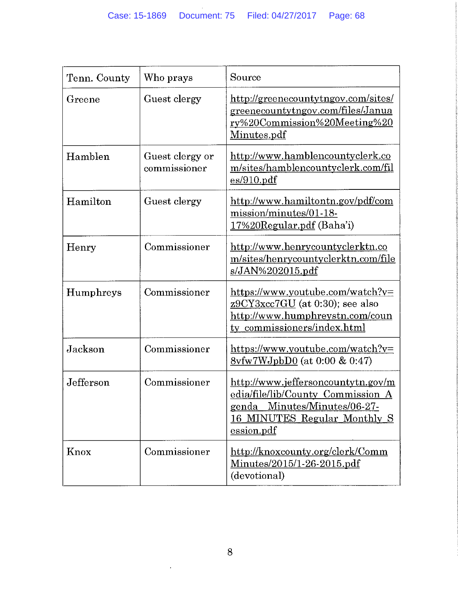| Tenn. County | Who prays                       | Source                                                                                                                                                       |
|--------------|---------------------------------|--------------------------------------------------------------------------------------------------------------------------------------------------------------|
| Greene       | Guest clergy                    | http://greenecountytngov.com/sites/<br>greenecountytngov.com/files/Janua<br>ry%20Commission%20Meeting%20<br>Minutes.pdf                                      |
| Hamblen      | Guest clergy or<br>commissioner | http://www.hamblencountyclerk.co<br>m/sites/hamblencountyclerk.com/fil<br>es/910.pdf                                                                         |
| Hamilton     | Guest clergy                    | http://www.hamiltontn.gov/pdf/com<br>mission/minutes/01-18-<br>17%20Regular.pdf (Baha'i)                                                                     |
| Henry        | Commissioner                    | http://www.henrycountyclerktn.co<br>m/sites/henrycountyclerktn.com/file<br>s/JAN%202015.pdf                                                                  |
| Humphreys    | Commissioner                    | https://www.youtube.com/watch?v=<br>z9CY3xcc7GU (at 0:30); see also<br>http://www.humphreystn.com/coun<br>ty commissioners/index.html                        |
| Jackson      | Commissioner                    | https://www.youtube.com/watch?v=<br>$8v f w 7W J$ pbD0 (at 0:00 & 0:47)                                                                                      |
| Jefferson    | Commissioner                    | http://www.jeffersoncountytn.gov/m<br>edia/file/lib/County Commission A<br><u>genda Minutes/Minutes/06-27-</u><br>16 MINUTES Regular Monthly S<br>ession.pdf |
| Knox         | Commissioner                    | http://knoxcounty.org/clerk/Comm<br><u>Minutes/2015/1-26-2015.pdf</u><br>(devotional)                                                                        |

 $\cdot$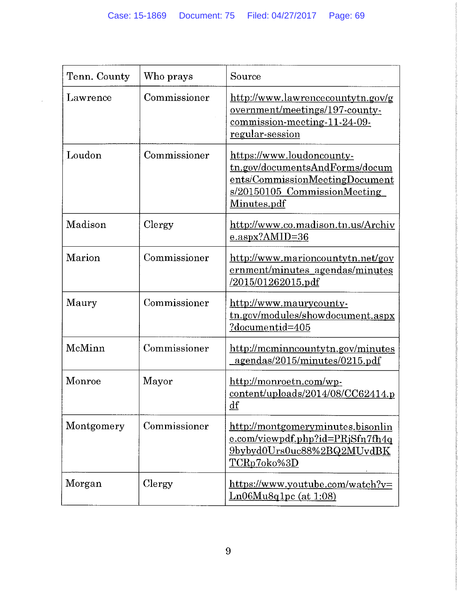$\sim$ 

| Tenn. County | Who prays    | Source                                                                                                                                       |
|--------------|--------------|----------------------------------------------------------------------------------------------------------------------------------------------|
| Lawrence     | Commissioner | http://www.lawrencecountytn.gov/g<br>overnment/meetings/197-county-<br>commission-meeting-11-24-09-<br>regular-session                       |
| Loudon       | Commissioner | https://www.loudoncounty-<br>tn.gov/documentsAndForms/docum<br>ents/CommissionMeetingDocument<br>s/20150105 CommissionMeeting<br>Minutes.pdf |
| Madison      | Clergy       | http://www.co.madison.tn.us/Archiv<br>$e.$ aspx?AMID=36                                                                                      |
| Marion       | Commissioner | http://www.marioncountytn.net/gov<br>ernment/minutes agendas/minutes<br><u>/2015/01262015.pdf</u>                                            |
| Maury        | Commissioner | http://www.maurycounty-<br>tn.gov/modules/showdocument.aspx<br><u>?documentid=405</u>                                                        |
| McMinn       | Commissioner | http://mcminncountytn.gov/minutes<br>agendas/2015/minutes/0215.pdf                                                                           |
| Monroe       | Mayor        | http://monroetn.com/wp-<br>content/uploads/2014/08/CC62414.p<br>$\underline{\mathrm{df}}$                                                    |
| Montgomery   | Commissioner | http://montgomeryminutes.bisonlin<br><u>e.com/viewpdf.php?id=PRjSfn7fh4q</u><br>9bybyd0Urs0uc88%2BQ2MUvdBK<br><u>TCRp7oko%3D</u>             |
| Morgan       | Clergy       | https://www.youtube.com/watch?v=<br>$Ln06Mu8q1pc$ (at $1:08$ )                                                                               |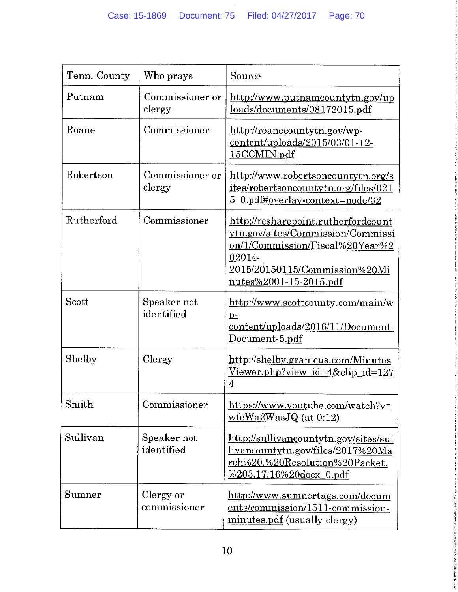| Tenn. County | Who prays                 | Source                                                                                                                                                                                  |
|--------------|---------------------------|-----------------------------------------------------------------------------------------------------------------------------------------------------------------------------------------|
| Putnam       | Commissioner or<br>clergy | http://www.putnamcountytn.gov/up<br>loads/documents/08172015.pdf                                                                                                                        |
| Roane        | Commissioner              | http://roanecountytn.gov/wp-<br>content/uploads/2015/03/01-12-<br>15CCMIN.pdf                                                                                                           |
| Robertson    | Commissioner or<br>clergy | http://www.robertsoncountytn.org/s<br>ites/robertsoncountytn.org/files/021<br>5 0.pdf#overlay-context=node/32                                                                           |
| Rutherford   | Commissioner              | http://rcsharepoint.rutherfordcount<br>ytn.gov/sites/Commission/Commissi<br><u>on/1/Commission/Fiscal%20Year%2</u><br>02014-<br>2015/20150115/Commission%20Mi<br>nutes%2001-15-2015.pdf |
| Scott        | Speaker not<br>identified | http://www.scottcounty.com/main/w<br>$p-$<br>content/uploads/2016/11/Document-<br>Document-5.pdf                                                                                        |
| Shelby       | Clergy                    | http://shelby.granicus.com/Minutes<br><u>Viewer.php?view_id=4&amp;clip_id=127</u><br>$\overline{4}$                                                                                     |
| Smith        | Commissioner              | https://www.youtube.com/watch?v=<br>$wfeWa2WasJQ$ (at 0:12)                                                                                                                             |
| Sullivan     | Speaker not<br>identified | http://sullivancountytn.gov/sites/sul<br>livancountytn.gov/files/2017%20Ma<br>rch%20.%20Resolution%20Packet.<br>%203.17.16%20docx_0.pdf                                                 |
| Sumner       | Clergy or<br>commissioner | http://www.sumnertags.com/docum<br>ents/commission/1511-commission-<br>minutes.pdf (usually clergy)                                                                                     |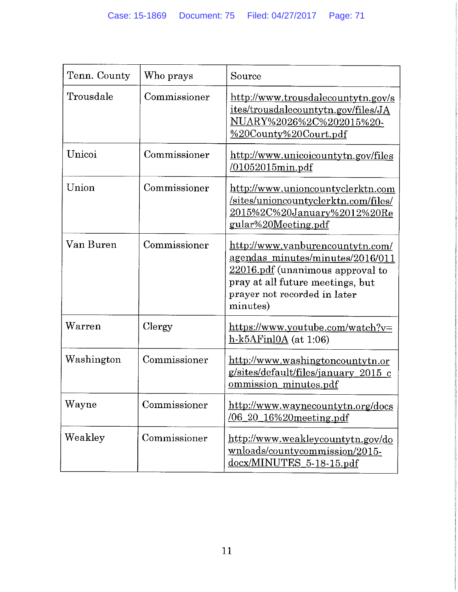| Tenn. County | Who prays    | Source                                                                                                                                                                                   |
|--------------|--------------|------------------------------------------------------------------------------------------------------------------------------------------------------------------------------------------|
| Trousdale    | Commissioner | http://www.trousdalecountytn.gov/s<br>ites/trousdalecountytn.gov/files/JA<br><u>NUARY%2026%2C%202015%20-</u><br>%20County%20Court.pdf                                                    |
| Unicoi       | Commissioner | http://www.unicoicountytn.gov/files<br>$/01052015$ min.pdf                                                                                                                               |
| Union        | Commissioner | http://www.unioncountyclerktn.com<br>sites/unioncountyclerktn.com/files/<br>2015%2C%20January%2012%20Re<br><u>gular%20Meeting.pdf</u>                                                    |
| Van Buren    | Commissioner | http://www.vanburencountytn.com/<br>agendas minutes/minutes/2016/011<br>22016.pdf (unanimous approval to<br>pray at all future meetings, but<br>prayer not recorded in later<br>minutes) |
| Warren       | Clergy       | https://www.youtube.com/watch?v=<br>$h-k5AFinIOA$ (at 1:06)                                                                                                                              |
| Washington   | Commissioner | http://www.washingtoncountytn.or<br><u>g/sites/default/files/january 2015 c</u><br>ommission minutes.pdf                                                                                 |
| Wayne        | Commissioner | http://www.waynecountytn.org/docs<br>$\sqrt{06}$ 20 16%20 meeting pdf                                                                                                                    |
| Weakley      | Commissioner | http://www.weakleycountytn.gov/do<br>wnloads/countycommission/2015-<br>docx/MINUTES 5-18-15.pdf                                                                                          |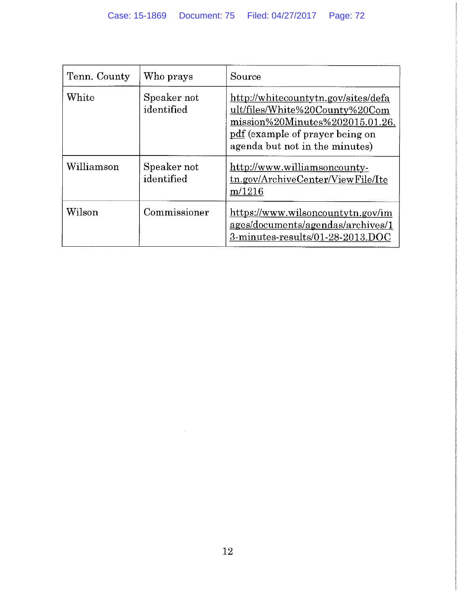| Tenn. County | Who prays                 | Source                                                                                                                                                                        |
|--------------|---------------------------|-------------------------------------------------------------------------------------------------------------------------------------------------------------------------------|
| White        | Speaker not<br>identified | http://whitecountytn.gov/sites/defa<br>ult/files/White%20County%20Com<br>mission%20Minutes%202015.01.26.<br>pdf (example of prayer being on<br>agenda but not in the minutes) |
| Williamson   | Speaker not<br>identified | http://www.williamsoncounty-<br>tn.gov/ArchiveCenter/ViewFile/Ite<br>m/1216                                                                                                   |
| Wilson       | Commissioner              | https://www.wilsoncountytn.gov/im<br>ages/documents/agendas/archives/1<br>3-minutes-results/01-28-2013.DOC                                                                    |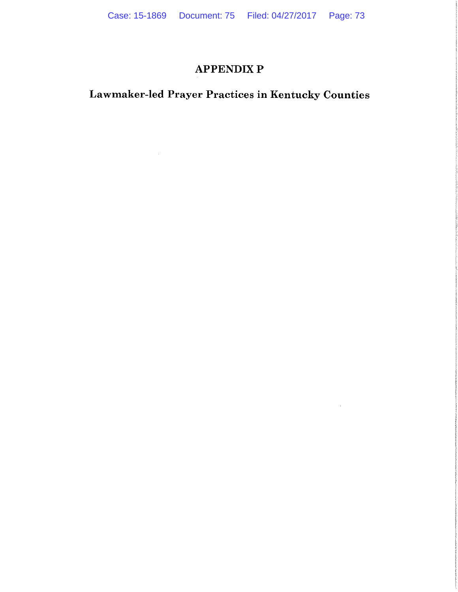### **APPENDIX P**

## Lawmaker-led Prayer Practices in Kentucky Counties

 $\sim 10^{-1}$ 

 $\mathcal{L}^{\mathcal{L}}(\mathcal{L}^{\mathcal{L}})$  . The set of  $\mathcal{L}^{\mathcal{L}}(\mathcal{L}^{\mathcal{L}})$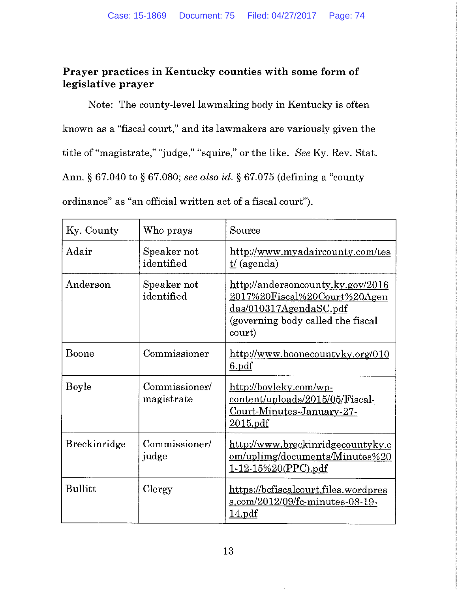#### Prayer practices in Kentucky counties with some form of legislative prayer

Note: The county-level lawmaking body in Kentucky is often known as a "fiscal court," and its lawmakers are variously given the title of "magistrate," "judge," "squire," or the like. See Ky. Rev. Stat. Ann. § 67.040 to § 67.080; see also id. § 67.075 (defining a "county" ordinance" as "an official written act of a fiscal court").

| Ky. County          | Who prays                   | Source                                                                                                                                               |
|---------------------|-----------------------------|------------------------------------------------------------------------------------------------------------------------------------------------------|
| Adair               | Speaker not<br>identified   | http://www.myadaircounty.com/tes<br>$\underline{t}/(a$ genda)                                                                                        |
| Anderson            | Speaker not<br>identified   | http://andersoncounty.ky.gov/2016<br><u>2017%20Fiscal%20Court%20Agen</u><br>$d$ as/010317AgendaSC.pdf<br>(governing body called the fiscal<br>court) |
| Boone               | Commissioner                | http://www.boonecountyky.org/010<br><u>6.pdf</u>                                                                                                     |
| <b>Boyle</b>        | Commissioner/<br>magistrate | http://boyleky.com/wp-<br>content/uploads/2015/05/Fiscal-<br>Court-Minutes-January-27-<br>2015.pdf                                                   |
| <b>Breckinridge</b> | Commissioner/<br>judge      | http://www.breckinridgecountyky.c<br>om/uplimg/documents/Minutes%20<br>$1-12-15\%20(PPC)$ .pdf                                                       |
| <b>Bullitt</b>      | Clergy                      | https://bcfiscalcourt.files.wordpres<br>s.com/2012/09/fc-minutes-08-19-<br>14.pdf                                                                    |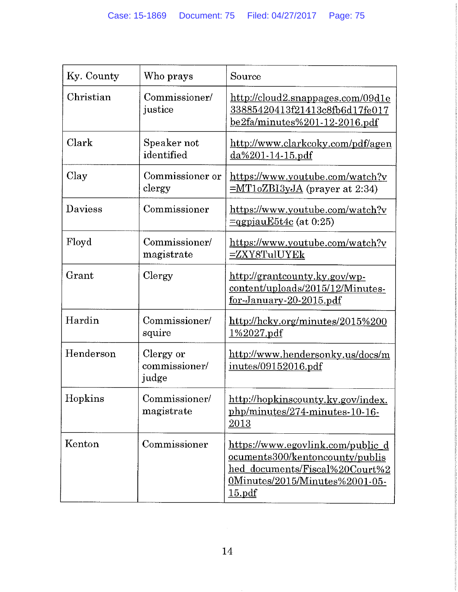| Ky. County              | Who prays                           | Source                                                                                                                                                    |
|-------------------------|-------------------------------------|-----------------------------------------------------------------------------------------------------------------------------------------------------------|
| Christian               | Commissioner/<br>justice            | http://cloud2.snappages.com/09d1e<br>33885420413f21413c8fb6d17fe017<br><u>be2fa/minutes%201-12-2016.pdf</u>                                               |
| Clark                   | Speaker not<br>identified           | <u>http://www.clarkcoky.com/pdf/agen</u><br><u>da%201-14-15.pdf</u>                                                                                       |
| Clay                    | Commissioner or<br>clergy           | https://www.youtube.com/watch?v<br>$=MT1oZB13yJA$ (prayer at 2:34)                                                                                        |
| <b>Daviess</b>          | Commissioner                        | https://www.youtube.com/watch?v<br>$\equiv$ qgpjauE5t4c (at 0:25)                                                                                         |
| Floyd                   | Commissioner/<br>magistrate         | https://www.youtube.com/watch?v<br>$=$ ZXY8TulUYEk                                                                                                        |
| $\operatorname{Grant}$  | Clergy                              | http://grantcounty.ky.gov/wp-<br>content/uploads/2015/12/Minutes-<br><u>for-January-20-2015.pdf</u>                                                       |
| Hardin                  | Commissioner/<br>squire             | http://hcky.org/minutes/2015%200<br><u>1%2027.pdf</u>                                                                                                     |
| Henderson               | Clergy or<br>commissioner/<br>judge | http://www.hendersonky.us/docs/m<br>inutes/09152016.pdf                                                                                                   |
| Hopkins                 | Commissioner/<br>magistrate         | http://hopkinscounty.ky.gov/index.<br>php/minutes/274-minutes-10-16-<br>2013                                                                              |
| $\operatorname{Kenton}$ | Commissioner                        | https://www.egovlink.com/public_d<br><u>ocuments300/kentoncounty/publis</u><br>hed_documents/Fiscal%20Court%2<br>0Minutes/2015/Minutes%2001-05-<br>15.pdf |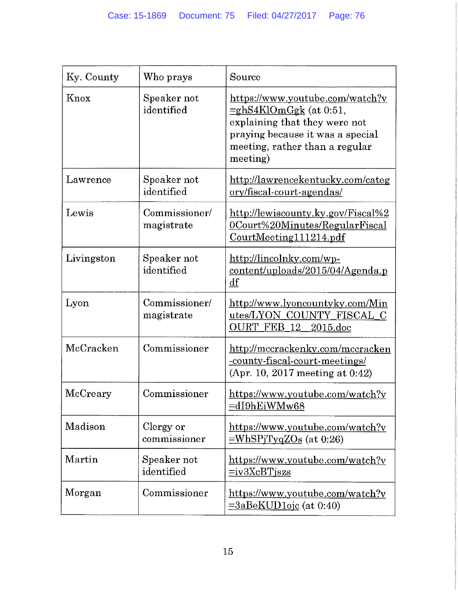| Ky. County | Who prays                   | Source                                                                                                                                                                          |
|------------|-----------------------------|---------------------------------------------------------------------------------------------------------------------------------------------------------------------------------|
| Knox       | Speaker not<br>identified   | https://www.youtube.com/watch?v<br>$=$ ghS4KlOmGgk (at 0:51,<br>explaining that they were not<br>praying because it was a special<br>meeting, rather than a regular<br>meeting) |
| Lawrence   | Speaker not<br>identified   | http://lawrencekentucky.com/categ<br><u>ory/fiscal-court-agendas/</u>                                                                                                           |
| Lewis      | Commissioner/<br>magistrate | http://lewiscounty.ky.gov/Fiscal%2<br>OCourt%20Minutes/RegularFiscal<br>CourtMeeting111214.pdf                                                                                  |
| Livingston | Speaker not<br>identified   | http://lincolnky.com/wp-<br>content/uploads/2015/04/Agenda.p<br>df                                                                                                              |
| Lyon       | Commissioner/<br>magistrate | http://www.lyoncountyky.com/Min<br>utes/LYON_COUNTY_FISCAL_C<br>OURT FEB 12<br>$2015$ .doc                                                                                      |
| McCracken  | Commissioner                | http://mccrackenky.com/mccracken<br><u>-county-fiscal-court-meetings/</u><br>(Apr. 10, 2017 meeting at $0.42$ )                                                                 |
| McCreary   | Commissioner                | https://www.youtube.com/watch?v<br><u>=dI9hEiWMw68</u>                                                                                                                          |
| Madison    | Clergy or<br>commissioner   | https://www.youtube.com/watch?v<br>$=\text{WhSPjTyqZOs}$ (at 0:26)                                                                                                              |
| Martin     | Speaker not<br>identified   | https://www.youtube.com/watch?v<br>$=$ iv $3XcBT$ jszs                                                                                                                          |
| Morgan     | Commissioner                | https://www.youtube.com/watch?v<br>$=3aBeKUD1oic$ (at 0:40)                                                                                                                     |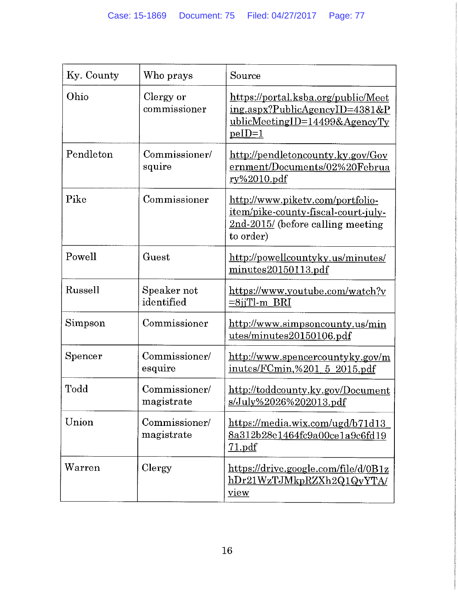| Ky. County       | Who prays                   | Source                                                                                                                     |
|------------------|-----------------------------|----------------------------------------------------------------------------------------------------------------------------|
| Ohio             | Clergy or<br>commissioner   | https://portal.ksba.org/public/Meet<br>ing.aspx?PublicAgencyID=4381&P<br>$ublic MeetingID=14499& AgencyTy$<br>$peID=1$     |
| Pendleton        | Commissioner/<br>squire     | http://pendletoncounty.ky.gov/Gov<br>ernment/Documents/02%20Februa<br><u>ry%2010.pdf</u>                                   |
| Pike             | Commissioner                | http://www.pikety.com/portfolio-<br>item/pike-county-fiscal-court-july-<br>$2nd-2015$ (before calling meeting<br>to order) |
| Powell           | Guest                       | http://powellcountyky.us/minutes/<br>minutes20150113.pdf                                                                   |
| Russell          | Speaker not<br>identified   | https://www.youtube.com/watch?v<br>$=8$ jiTl-m BRI                                                                         |
| Simpson          | Commissioner                | http://www.simpsoncounty.us/min<br>utes/minutes20150106.pdf                                                                |
| $S_{\rm pencer}$ | Commissioner/<br>esquire    | http://www.spencercountyky.gov/m<br>inutes/FCmin,%201 5 2015.pdf                                                           |
| Todd             | Commissioner/<br>magistrate | http://toddcounty.ky.gov/Document<br>s/July%2026%202013.pdf                                                                |
| Union            | Commissioner/<br>magistrate | https://media.wix.com/ugd/b71d13<br>8a312b28e1464fc9a00ce1a9c6fd19<br>71.pdf                                               |
| Warren           | Clergy                      | https://drive.google.com/file/d/0B1z<br>hDr21WzTJMkpRZXh2Q1QyYTA<br>view                                                   |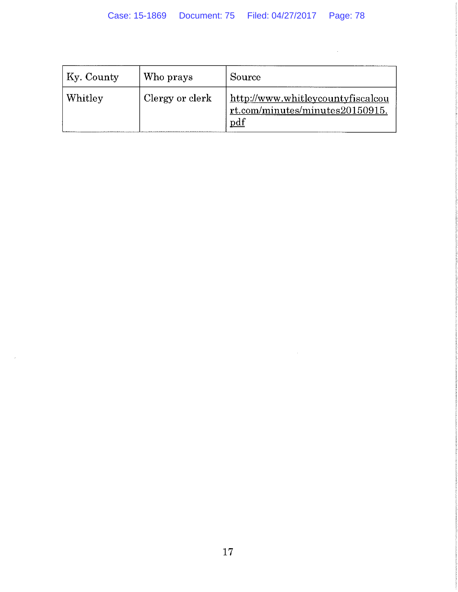$\Delta\phi$  .

 $\sim 10^{-1}$ 

| $K$ y. County   | Who prays       | Source                                                                      |
|-----------------|-----------------|-----------------------------------------------------------------------------|
| $\vert$ Whitley | Clergy or clerk | http://www.whitleycountyfiscalcou<br>rt.com/minutes/minutes20150915.<br>pdf |

 $\sim$   $\lambda$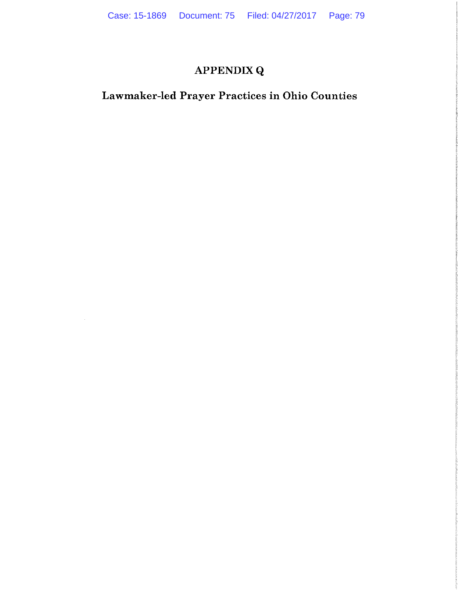# **APPENDIX Q**

## Lawmaker-led Prayer Practices in Ohio Counties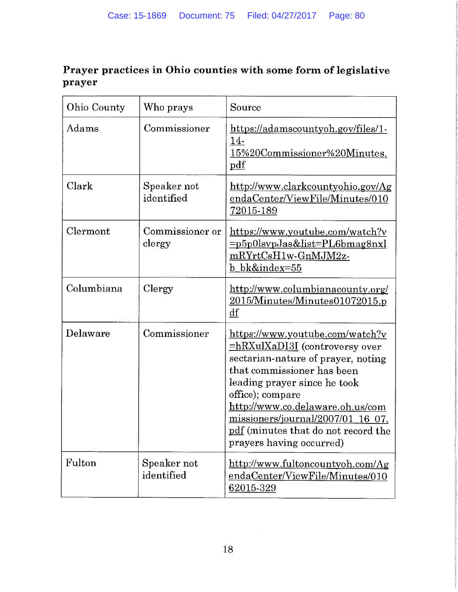### Prayer practices in Ohio counties with some form of legislative prayer

| Ohio County | Who prays                 | Source                                                                                                                                                                                                                                                                                                                                              |
|-------------|---------------------------|-----------------------------------------------------------------------------------------------------------------------------------------------------------------------------------------------------------------------------------------------------------------------------------------------------------------------------------------------------|
| Adams       | Commissioner              | https://adamscountyoh.gov/files/1-<br><u>14-</u><br>15%20Commissioner%20Minutes.<br>pdf                                                                                                                                                                                                                                                             |
| Clark       | Speaker not<br>identified | http://www.clarkcountyohio.gov/Ag<br>endaCenter/ViewFile/Minutes/010<br>72015-189                                                                                                                                                                                                                                                                   |
| Clermont    | Commissioner or<br>clergy | https://www.youtube.com/watch?v<br>=p5p0lsvpJas&list=PL6bmag8nxl<br>mRYrtCsH1w-GnMJM2z-<br>bk&index=55                                                                                                                                                                                                                                              |
| Columbiana  | Clergy                    | http://www.columbianacounty.org/<br>$2015$ /Minutes/Minutes $01072015$ .p<br>df                                                                                                                                                                                                                                                                     |
| Delaware    | Commissioner              | https://www.youtube.com/watch?v<br><b>=hRXulXaDI3I</b> (controversy over<br>sectarian-nature of prayer, noting<br>that commissioner has been<br>leading prayer since he took<br>office); compare<br>http://www.co.delaware.oh.us/com<br>missioners/journal/2007/01<br>$\_16$ 07.<br>pdf (minutes that do not record the<br>prayers having occurred) |
| Fulton      | Speaker not<br>identified | http://www.fultoncountyoh.com/Ag<br>endaCenter/ViewFile/Minutes/010<br>62015-329                                                                                                                                                                                                                                                                    |